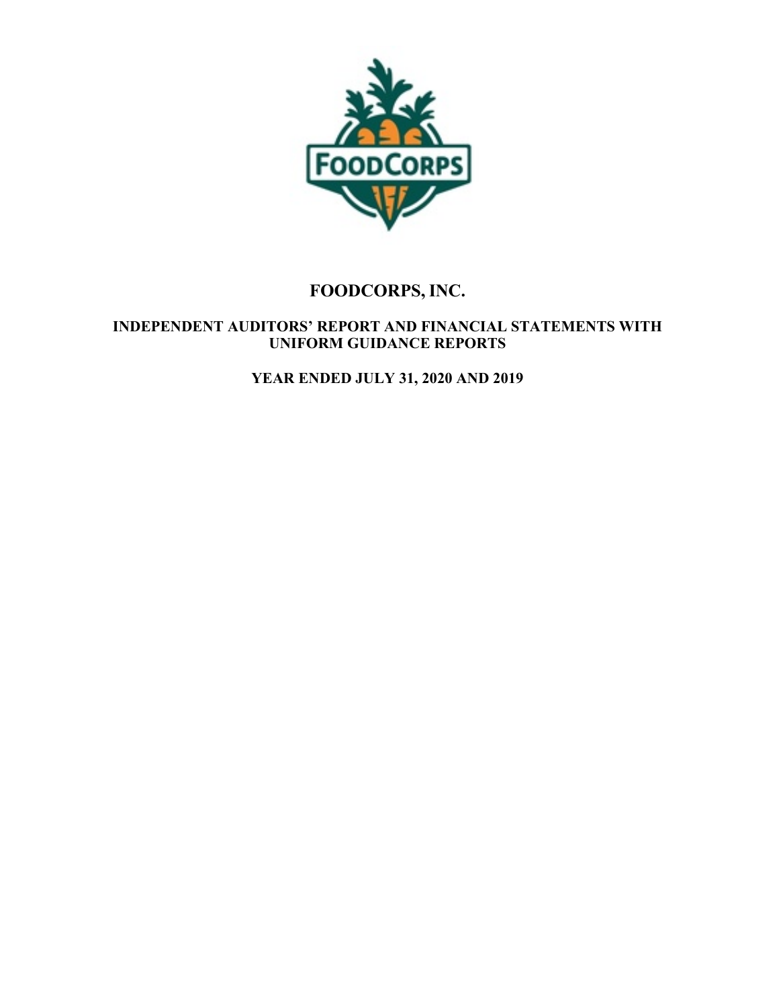

## **INDEPENDENT AUDITORS' REPORT AND FINANCIAL STATEMENTS WITH UNIFORM GUIDANCE REPORTS**

**YEAR ENDED JULY 31, 2020 AND 2019**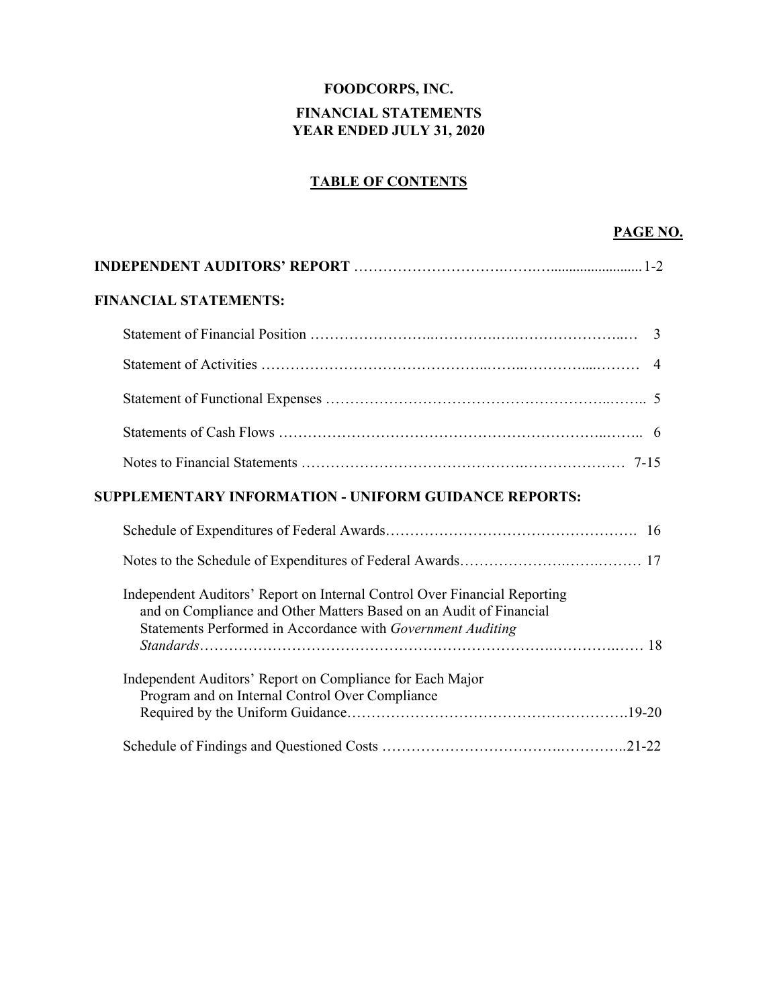## **FOODCORPS, INC. FINANCIAL STATEMENTS YEAR ENDED JULY 31, 2020**

## **TABLE OF CONTENTS**

## **PAGE NO.**

| <b>FINANCIAL STATEMENTS:</b>                                                                                                                                                                                   |
|----------------------------------------------------------------------------------------------------------------------------------------------------------------------------------------------------------------|
|                                                                                                                                                                                                                |
| $\overline{4}$                                                                                                                                                                                                 |
|                                                                                                                                                                                                                |
|                                                                                                                                                                                                                |
|                                                                                                                                                                                                                |
| <b>SUPPLEMENTARY INFORMATION - UNIFORM GUIDANCE REPORTS:</b>                                                                                                                                                   |
|                                                                                                                                                                                                                |
|                                                                                                                                                                                                                |
|                                                                                                                                                                                                                |
| Independent Auditors' Report on Internal Control Over Financial Reporting<br>and on Compliance and Other Matters Based on an Audit of Financial<br>Statements Performed in Accordance with Government Auditing |
| Independent Auditors' Report on Compliance for Each Major<br>Program and on Internal Control Over Compliance                                                                                                   |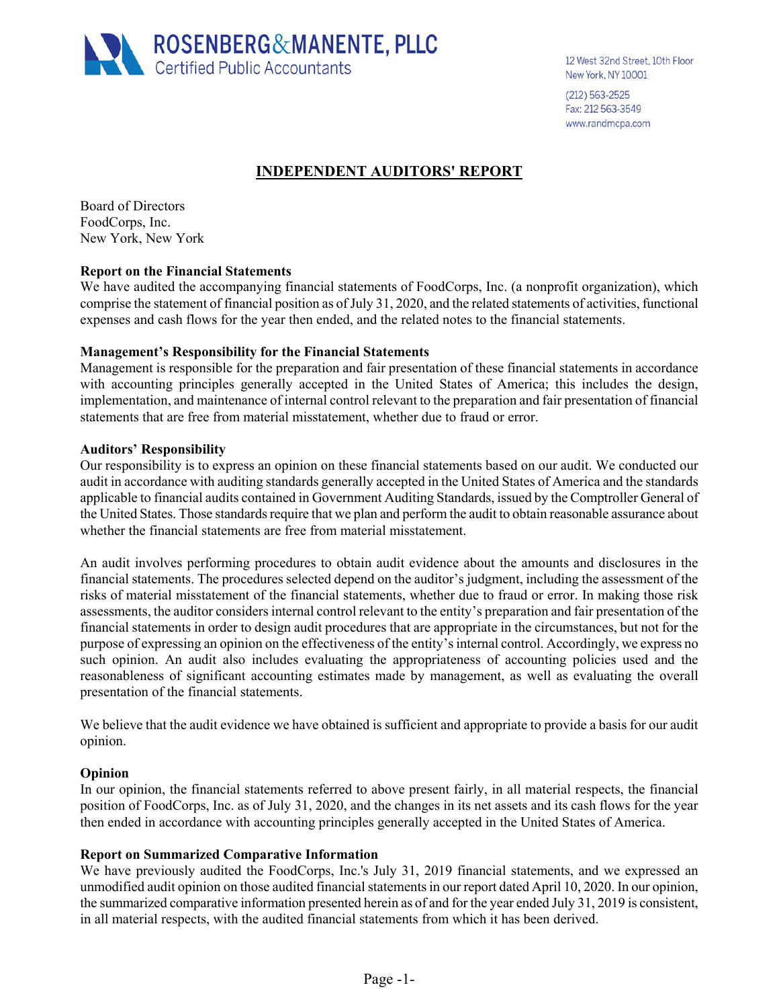

12 West 32nd Street, 10th Floor New York, NY 10001

(212) 563-2525 Fax: 212 563-3549 www.randmcpa.com

## **INDEPENDENT AUDITORS' REPORT**

Board of Directors FoodCorps, Inc. New York, New York

#### **Report on the Financial Statements**

We have audited the accompanying financial statements of FoodCorps, Inc. (a nonprofit organization), which comprise the statement of financial position as of July 31, 2020, and the related statements of activities, functional expenses and cash flows for the year then ended, and the related notes to the financial statements.

#### **Management's Responsibility for the Financial Statements**

Management is responsible for the preparation and fair presentation of these financial statements in accordance with accounting principles generally accepted in the United States of America; this includes the design, implementation, and maintenance of internal control relevant to the preparation and fair presentation of financial statements that are free from material misstatement, whether due to fraud or error.

#### **Auditors' Responsibility**

Our responsibility is to express an opinion on these financial statements based on our audit. We conducted our audit in accordance with auditing standards generally accepted in the United States of America and the standards applicable to financial audits contained in Government Auditing Standards, issued by the Comptroller General of the United States. Those standards require that we plan and perform the audit to obtain reasonable assurance about whether the financial statements are free from material misstatement.

An audit involves performing procedures to obtain audit evidence about the amounts and disclosures in the financial statements. The procedures selected depend on the auditor's judgment, including the assessment of the risks of material misstatement of the financial statements, whether due to fraud or error. In making those risk assessments, the auditor considers internal control relevant to the entity's preparation and fair presentation of the financial statements in order to design audit procedures that are appropriate in the circumstances, but not for the purpose of expressing an opinion on the effectiveness of the entity's internal control. Accordingly, we express no such opinion. An audit also includes evaluating the appropriateness of accounting policies used and the reasonableness of significant accounting estimates made by management, as well as evaluating the overall presentation of the financial statements.

We believe that the audit evidence we have obtained is sufficient and appropriate to provide a basis for our audit opinion.

#### **Opinion**

In our opinion, the financial statements referred to above present fairly, in all material respects, the financial position of FoodCorps, Inc. as of July 31, 2020, and the changes in its net assets and its cash flows for the year then ended in accordance with accounting principles generally accepted in the United States of America.

#### **Report on Summarized Comparative Information**

We have previously audited the FoodCorps, Inc.'s July 31, 2019 financial statements, and we expressed an unmodified audit opinion on those audited financial statements in our report dated April 10, 2020. In our opinion, the summarized comparative information presented herein as of and for the year ended July 31, 2019 is consistent, in all material respects, with the audited financial statements from which it has been derived.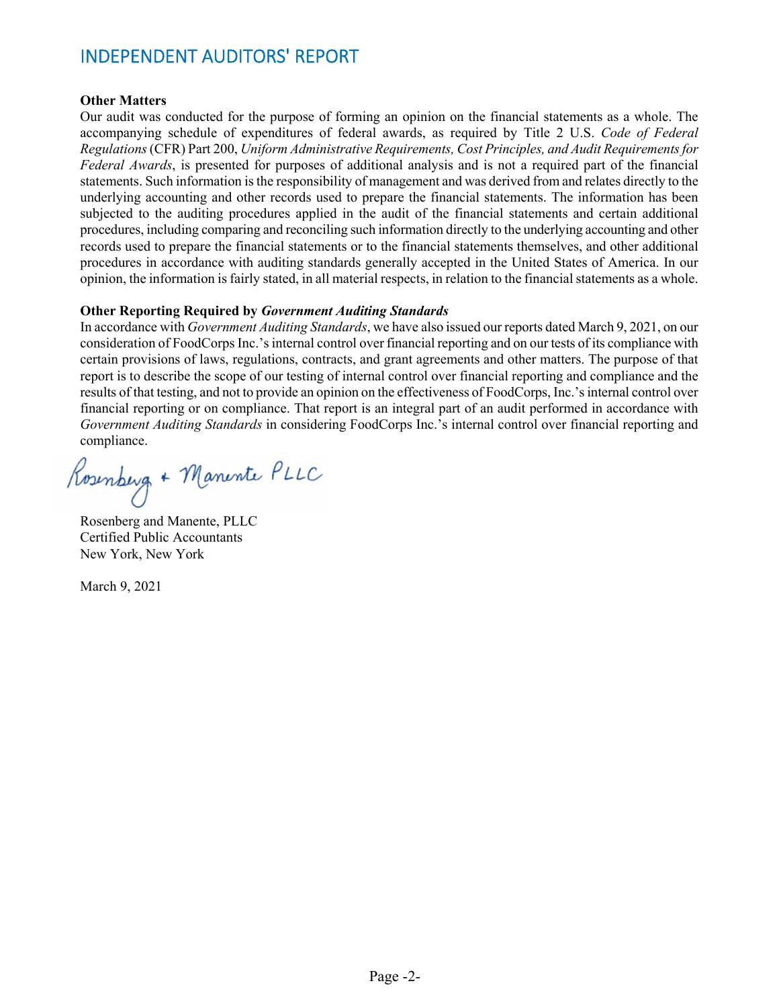# INDEPENDENT AUDITORS' REPORT

#### **Other Matters**

Our audit was conducted for the purpose of forming an opinion on the financial statements as a whole. The accompanying schedule of expenditures of federal awards, as required by Title 2 U.S. *Code of Federal Regulations* (CFR) Part 200, *Uniform Administrative Requirements, Cost Principles, and Audit Requirements for Federal Awards*, is presented for purposes of additional analysis and is not a required part of the financial statements. Such information is the responsibility of management and was derived from and relates directly to the underlying accounting and other records used to prepare the financial statements. The information has been subjected to the auditing procedures applied in the audit of the financial statements and certain additional procedures, including comparing and reconciling such information directly to the underlying accounting and other records used to prepare the financial statements or to the financial statements themselves, and other additional procedures in accordance with auditing standards generally accepted in the United States of America. In our opinion, the information is fairly stated, in all material respects, in relation to the financial statements as a whole.

#### **Other Reporting Required by** *Government Auditing Standards*

In accordance with *Government Auditing Standards*, we have also issued our reports dated March 9, 2021, on our consideration of FoodCorps Inc.'s internal control over financial reporting and on our tests of its compliance with certain provisions of laws, regulations, contracts, and grant agreements and other matters. The purpose of that report is to describe the scope of our testing of internal control over financial reporting and compliance and the results of that testing, and not to provide an opinion on the effectiveness of FoodCorps, Inc.'s internal control over financial reporting or on compliance. That report is an integral part of an audit performed in accordance with *Government Auditing Standards* in considering FoodCorps Inc.'s internal control over financial reporting and compliance.

Rosenberg + Manente PLLC

Rosenberg and Manente, PLLC Certified Public Accountants New York, New York

March 9, 2021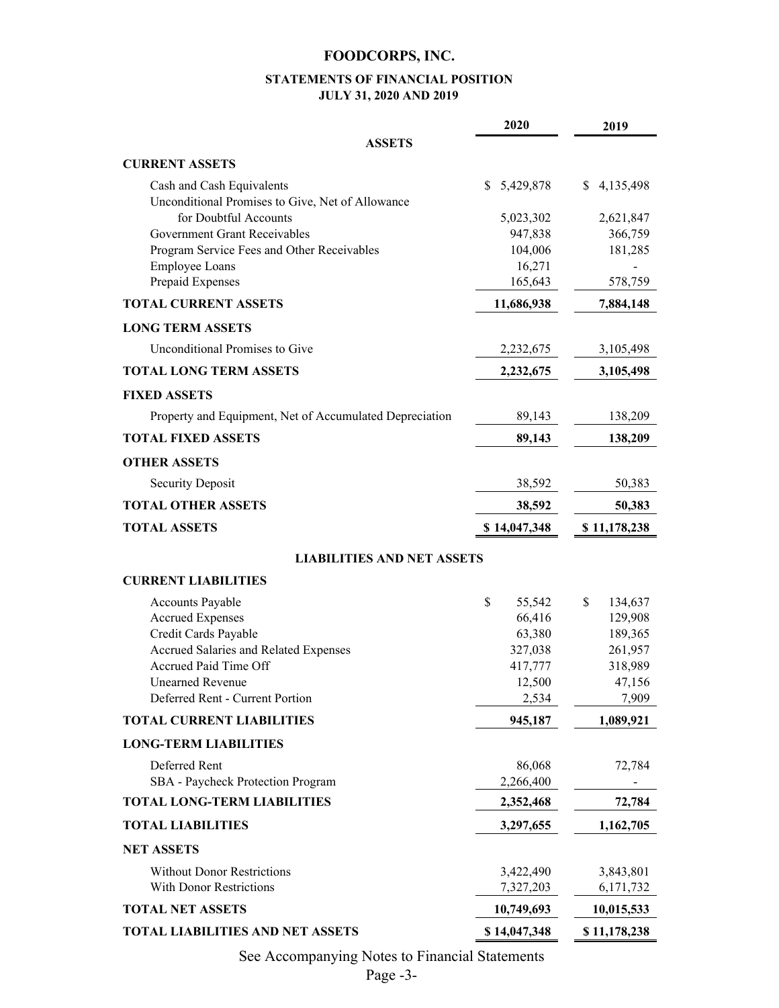#### **STATEMENTS OF FINANCIAL POSITION JULY 31, 2020 AND 2019**

|                                                                               | 2020              | 2019              |
|-------------------------------------------------------------------------------|-------------------|-------------------|
| <b>ASSETS</b>                                                                 |                   |                   |
| <b>CURRENT ASSETS</b>                                                         |                   |                   |
| Cash and Cash Equivalents<br>Unconditional Promises to Give, Net of Allowance | \$5,429,878       | 4,135,498<br>S.   |
| for Doubtful Accounts                                                         | 5,023,302         | 2,621,847         |
| Government Grant Receivables                                                  | 947,838           | 366,759           |
| Program Service Fees and Other Receivables                                    | 104,006           | 181,285           |
| <b>Employee Loans</b>                                                         | 16,271            |                   |
| Prepaid Expenses                                                              | 165,643           | 578,759           |
| <b>TOTAL CURRENT ASSETS</b>                                                   | 11,686,938        | 7,884,148         |
| <b>LONG TERM ASSETS</b>                                                       |                   |                   |
| Unconditional Promises to Give                                                | 2,232,675         | 3,105,498         |
| <b>TOTAL LONG TERM ASSETS</b>                                                 | 2,232,675         | 3,105,498         |
| <b>FIXED ASSETS</b>                                                           |                   |                   |
| Property and Equipment, Net of Accumulated Depreciation                       | 89,143            | 138,209           |
| <b>TOTAL FIXED ASSETS</b>                                                     | 89,143            | 138,209           |
| <b>OTHER ASSETS</b>                                                           |                   |                   |
| <b>Security Deposit</b>                                                       | 38,592            | 50,383            |
| <b>TOTAL OTHER ASSETS</b>                                                     | 38,592            | 50,383            |
| <b>TOTAL ASSETS</b>                                                           | \$14,047,348      | \$11,178,238      |
| <b>LIABILITIES AND NET ASSETS</b>                                             |                   |                   |
| <b>CURRENT LIABILITIES</b>                                                    |                   |                   |
| Accounts Payable                                                              | \$<br>55,542      | \$<br>134,637     |
| <b>Accrued Expenses</b>                                                       | 66,416            | 129,908           |
| Credit Cards Payable                                                          | 63,380            | 189,365           |
| Accrued Salaries and Related Expenses                                         | 327,038           | 261,957           |
| Accrued Paid Time Off<br><b>Unearned Revenue</b>                              | 417,777<br>12,500 | 318,989<br>47,156 |
| Deferred Rent - Current Portion                                               | 2,534             | 7,909             |
| <b>TOTAL CURRENT LIABILITIES</b>                                              | 945,187           | 1,089,921         |
| <b>LONG-TERM LIABILITIES</b>                                                  |                   |                   |
| Deferred Rent                                                                 | 86,068            | 72,784            |
| SBA - Paycheck Protection Program                                             | 2,266,400         |                   |
| <b>TOTAL LONG-TERM LIABILITIES</b>                                            | 2,352,468         | 72,784            |
| <b>TOTAL LIABILITIES</b>                                                      | 3,297,655         | 1,162,705         |
| <b>NET ASSETS</b>                                                             |                   |                   |
| <b>Without Donor Restrictions</b>                                             | 3,422,490         | 3,843,801         |
| <b>With Donor Restrictions</b>                                                | 7,327,203         | 6,171,732         |
| <b>TOTAL NET ASSETS</b>                                                       | 10,749,693        | 10,015,533        |
| <b>TOTAL LIABILITIES AND NET ASSETS</b>                                       | \$14,047,348      | \$11,178,238      |

See Accompanying Notes to Financial Statements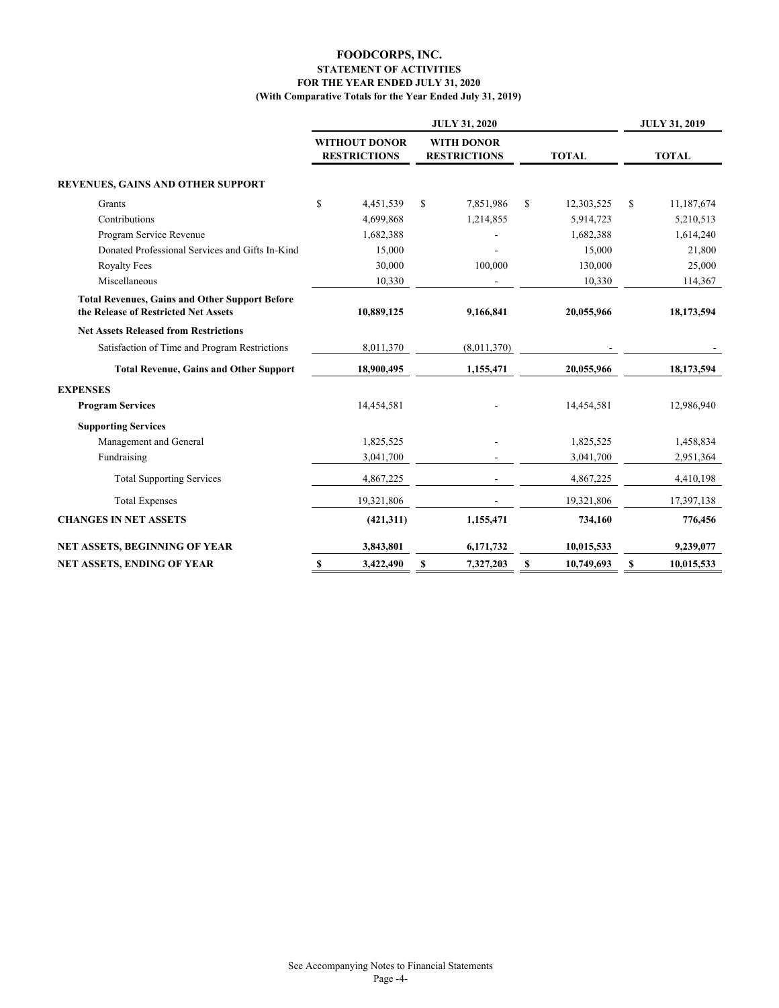#### **FOR THE YEAR ENDED JULY 31, 2020 STATEMENT OF ACTIVITIES FOODCORPS, INC. (With Comparative Totals for the Year Ended July 31, 2019)**

|                                                                                               |                                      | <b>JULY 31, 2019</b>                     |                 |                             |
|-----------------------------------------------------------------------------------------------|--------------------------------------|------------------------------------------|-----------------|-----------------------------|
|                                                                                               | WITHOUT DONOR<br><b>RESTRICTIONS</b> | <b>WITH DONOR</b><br><b>RESTRICTIONS</b> | <b>TOTAL</b>    | <b>TOTAL</b>                |
| <b>REVENUES, GAINS AND OTHER SUPPORT</b>                                                      |                                      |                                          |                 |                             |
| Grants                                                                                        | \$<br>4,451,539                      | S<br>7,851,986                           | S<br>12,303,525 | <sup>\$</sup><br>11,187,674 |
| Contributions                                                                                 | 4,699,868                            | 1,214,855                                | 5,914,723       | 5,210,513                   |
| Program Service Revenue                                                                       | 1,682,388                            |                                          | 1,682,388       | 1,614,240                   |
| Donated Professional Services and Gifts In-Kind                                               | 15,000                               |                                          | 15,000          | 21,800                      |
| <b>Royalty Fees</b>                                                                           | 30,000                               | 100,000                                  | 130,000         | 25,000                      |
| Miscellaneous                                                                                 | 10,330                               |                                          | 10,330          | 114,367                     |
| <b>Total Revenues, Gains and Other Support Before</b><br>the Release of Restricted Net Assets | 10,889,125                           | 9,166,841                                | 20,055,966      | 18,173,594                  |
| <b>Net Assets Released from Restrictions</b>                                                  |                                      |                                          |                 |                             |
| Satisfaction of Time and Program Restrictions                                                 | 8,011,370                            | (8,011,370)                              |                 |                             |
| <b>Total Revenue, Gains and Other Support</b>                                                 | 18,900,495                           | 1,155,471                                | 20,055,966      | 18,173,594                  |
| <b>EXPENSES</b>                                                                               |                                      |                                          |                 |                             |
| <b>Program Services</b>                                                                       | 14,454,581                           |                                          | 14,454,581      | 12,986,940                  |
| <b>Supporting Services</b>                                                                    |                                      |                                          |                 |                             |
| Management and General                                                                        | 1,825,525                            |                                          | 1,825,525       | 1,458,834                   |
| Fundraising                                                                                   | 3,041,700                            |                                          | 3,041,700       | 2,951,364                   |
| <b>Total Supporting Services</b>                                                              | 4,867,225                            |                                          | 4,867,225       | 4,410,198                   |
| <b>Total Expenses</b>                                                                         | 19,321,806                           |                                          | 19,321,806      | 17,397,138                  |
| <b>CHANGES IN NET ASSETS</b>                                                                  | (421,311)                            | 1,155,471                                | 734,160         | 776,456                     |
| NET ASSETS, BEGINNING OF YEAR                                                                 | 3,843,801                            | 6,171,732                                | 10,015,533      | 9,239,077                   |
| NET ASSETS, ENDING OF YEAR                                                                    | 3,422,490<br>S                       | S<br>7,327,203                           | 10,749,693<br>S | 10,015,533<br>\$            |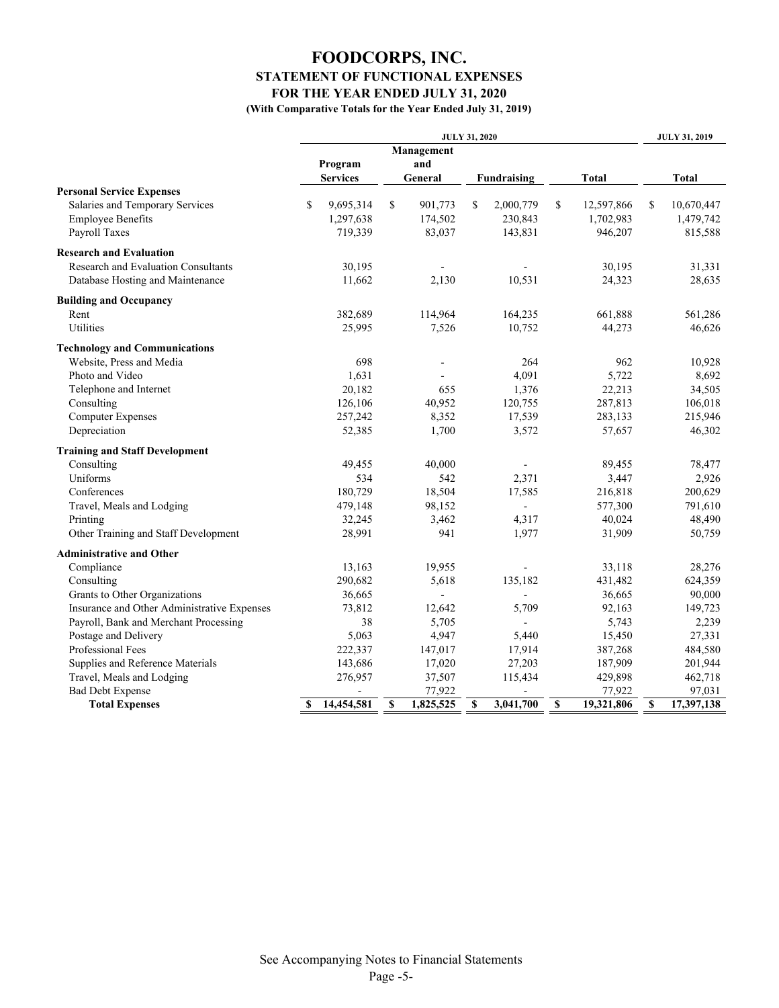## **FOODCORPS, INC. FOR THE YEAR ENDED JULY 31, 2020 STATEMENT OF FUNCTIONAL EXPENSES**

**(With Comparative Totals for the Year Ended July 31, 2019)**

|                                             | <b>JULY 31, 2020</b> |         |            |                | <b>JULY 31, 2019</b> |             |                  |    |              |
|---------------------------------------------|----------------------|---------|------------|----------------|----------------------|-------------|------------------|----|--------------|
|                                             |                      |         | Management |                |                      |             |                  |    |              |
|                                             | Program              |         | and        |                |                      |             |                  |    |              |
|                                             | <b>Services</b>      |         | General    |                |                      | Fundraising | <b>Total</b>     |    | <b>Total</b> |
| <b>Personal Service Expenses</b>            |                      |         |            |                |                      |             |                  |    |              |
| Salaries and Temporary Services             | \$<br>9,695,314      |         | S          | 901,773        | S                    | 2,000,779   | \$<br>12,597,866 | \$ | 10,670,447   |
| <b>Employee Benefits</b>                    | 1,297,638            |         |            | 174,502        |                      | 230,843     | 1,702,983        |    | 1,479,742    |
| Payroll Taxes                               |                      | 719,339 |            | 83,037         |                      | 143,831     | 946,207          |    | 815,588      |
| <b>Research and Evaluation</b>              |                      |         |            |                |                      |             |                  |    |              |
| Research and Evaluation Consultants         |                      | 30,195  |            | $\overline{a}$ |                      |             | 30,195           |    | 31,331       |
| Database Hosting and Maintenance            |                      | 11,662  |            | 2,130          |                      | 10,531      | 24,323           |    | 28,635       |
| <b>Building and Occupancy</b>               |                      |         |            |                |                      |             |                  |    |              |
| Rent                                        |                      | 382,689 |            | 114,964        |                      | 164,235     | 661,888          |    | 561,286      |
| Utilities                                   |                      | 25,995  |            | 7,526          |                      | 10,752      | 44,273           |    | 46,626       |
| <b>Technology and Communications</b>        |                      |         |            |                |                      |             |                  |    |              |
| Website, Press and Media                    |                      | 698     |            |                |                      | 264         | 962              |    | 10,928       |
| Photo and Video                             |                      | 1,631   |            |                |                      | 4,091       | 5,722            |    | 8,692        |
| Telephone and Internet                      |                      | 20,182  |            | 655            |                      | 1,376       | 22,213           |    | 34,505       |
| Consulting                                  |                      | 126,106 |            | 40,952         |                      | 120,755     | 287,813          |    | 106,018      |
| <b>Computer Expenses</b>                    |                      | 257,242 |            | 8,352          |                      | 17,539      | 283,133          |    | 215,946      |
| Depreciation                                |                      | 52,385  |            | 1,700          |                      | 3,572       | 57,657           |    | 46,302       |
| <b>Training and Staff Development</b>       |                      |         |            |                |                      |             |                  |    |              |
| Consulting                                  |                      | 49,455  |            | 40,000         |                      |             | 89,455           |    | 78,477       |
| Uniforms                                    |                      | 534     |            | 542            |                      | 2,371       | 3,447            |    | 2,926        |
| Conferences                                 |                      | 180,729 |            | 18,504         |                      | 17,585      | 216,818          |    | 200,629      |
| Travel, Meals and Lodging                   |                      | 479,148 |            | 98,152         |                      |             | 577,300          |    | 791,610      |
| Printing                                    |                      | 32,245  |            | 3,462          |                      | 4,317       | 40,024           |    | 48,490       |
| Other Training and Staff Development        |                      | 28,991  |            | 941            |                      | 1,977       | 31,909           |    | 50,759       |
| <b>Administrative and Other</b>             |                      |         |            |                |                      |             |                  |    |              |
| Compliance                                  |                      | 13,163  |            | 19,955         |                      |             | 33,118           |    | 28,276       |
| Consulting                                  |                      | 290,682 |            | 5,618          |                      | 135,182     | 431,482          |    | 624,359      |
| Grants to Other Organizations               |                      | 36,665  |            | $\overline{a}$ |                      |             | 36,665           |    | 90,000       |
| Insurance and Other Administrative Expenses |                      | 73,812  |            | 12,642         |                      | 5,709       | 92,163           |    | 149,723      |
| Payroll, Bank and Merchant Processing       |                      | 38      |            | 5,705          |                      |             | 5,743            |    | 2,239        |
| Postage and Delivery                        |                      | 5,063   |            | 4,947          |                      | 5.440       | 15,450           |    | 27,331       |
| Professional Fees                           |                      | 222,337 |            | 147,017        |                      | 17,914      | 387,268          |    | 484,580      |
| Supplies and Reference Materials            |                      | 143,686 |            | 17,020         |                      | 27,203      | 187,909          |    | 201,944      |
| Travel, Meals and Lodging                   |                      | 276,957 |            | 37,507         |                      | 115,434     | 429,898          |    | 462,718      |
| <b>Bad Debt Expense</b>                     |                      |         |            | 77,922         |                      |             | 77,922           |    | 97,031       |
| <b>Total Expenses</b>                       | 14,454,581<br>S      |         | \$         | 1,825,525      | $\mathbf S$          | 3,041,700   | \$<br>19,321,806 | \$ | 17,397,138   |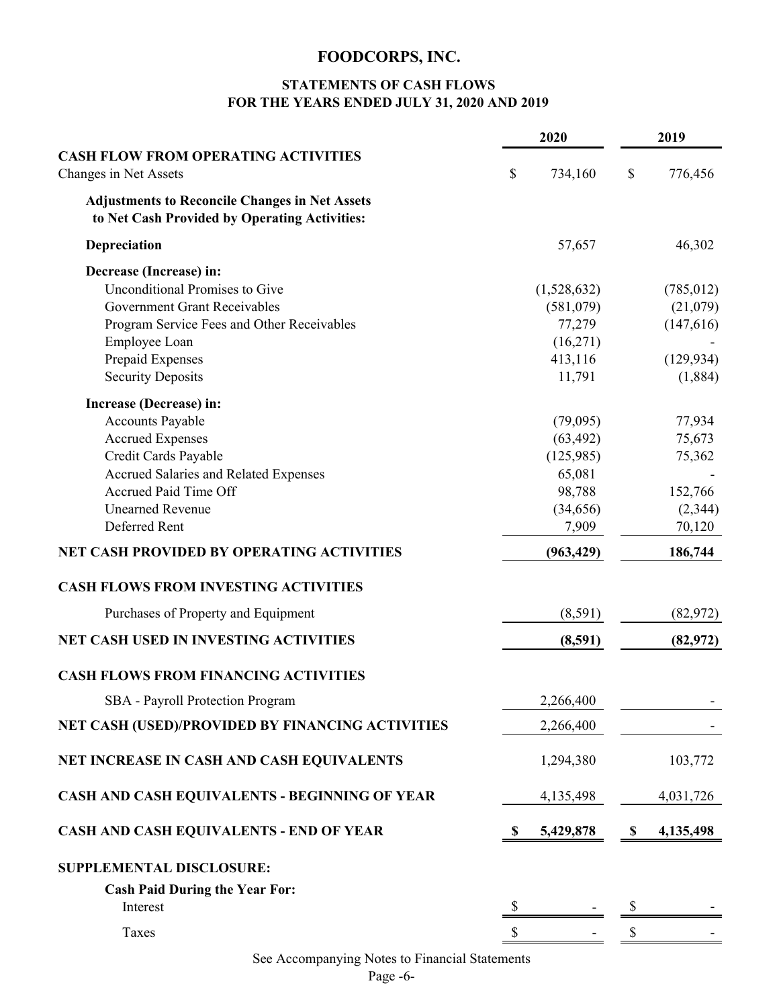### **STATEMENTS OF CASH FLOWS FOR THE YEARS ENDED JULY 31, 2020 AND 2019**

|                                                                                                        |    | 2020        | 2019            |
|--------------------------------------------------------------------------------------------------------|----|-------------|-----------------|
| <b>CASH FLOW FROM OPERATING ACTIVITIES</b>                                                             |    |             |                 |
| Changes in Net Assets                                                                                  | \$ | 734,160     | \$<br>776,456   |
| <b>Adjustments to Reconcile Changes in Net Assets</b><br>to Net Cash Provided by Operating Activities: |    |             |                 |
| Depreciation                                                                                           |    | 57,657      | 46,302          |
| Decrease (Increase) in:                                                                                |    |             |                 |
| <b>Unconditional Promises to Give</b>                                                                  |    | (1,528,632) | (785, 012)      |
| <b>Government Grant Receivables</b>                                                                    |    | (581,079)   | (21,079)        |
| Program Service Fees and Other Receivables                                                             |    | 77,279      | (147,616)       |
| Employee Loan                                                                                          |    | (16,271)    |                 |
| Prepaid Expenses                                                                                       |    | 413,116     | (129, 934)      |
| <b>Security Deposits</b>                                                                               |    | 11,791      | (1,884)         |
| Increase (Decrease) in:                                                                                |    |             |                 |
| Accounts Payable                                                                                       |    | (79,095)    | 77,934          |
| <b>Accrued Expenses</b>                                                                                |    | (63, 492)   | 75,673          |
| Credit Cards Payable                                                                                   |    | (125,985)   | 75,362          |
| <b>Accrued Salaries and Related Expenses</b>                                                           |    | 65,081      |                 |
| <b>Accrued Paid Time Off</b>                                                                           |    | 98,788      | 152,766         |
| <b>Unearned Revenue</b>                                                                                |    | (34,656)    | (2,344)         |
| Deferred Rent                                                                                          |    | 7,909       | 70,120          |
| <b>NET CASH PROVIDED BY OPERATING ACTIVITIES</b>                                                       |    | (963, 429)  | 186,744         |
| <b>CASH FLOWS FROM INVESTING ACTIVITIES</b>                                                            |    |             |                 |
| Purchases of Property and Equipment                                                                    |    | (8,591)     | (82, 972)       |
| <b>NET CASH USED IN INVESTING ACTIVITIES</b>                                                           |    | (8,591)     | (82, 972)       |
| <b>CASH FLOWS FROM FINANCING ACTIVITIES</b>                                                            |    |             |                 |
| SBA - Payroll Protection Program                                                                       |    | 2,266,400   |                 |
| NET CASH (USED)/PROVIDED BY FINANCING ACTIVITIES                                                       |    | 2,266,400   |                 |
| NET INCREASE IN CASH AND CASH EQUIVALENTS                                                              |    | 1,294,380   | 103,772         |
| CASH AND CASH EQUIVALENTS - BEGINNING OF YEAR                                                          |    | 4,135,498   | 4,031,726       |
| <b>CASH AND CASH EQUIVALENTS - END OF YEAR</b>                                                         | S  | 5,429,878   | \$<br>4,135,498 |
| <b>SUPPLEMENTAL DISCLOSURE:</b>                                                                        |    |             |                 |
| <b>Cash Paid During the Year For:</b>                                                                  |    |             |                 |
| Interest                                                                                               | S  |             |                 |
|                                                                                                        |    |             |                 |
| Taxes                                                                                                  | \$ |             |                 |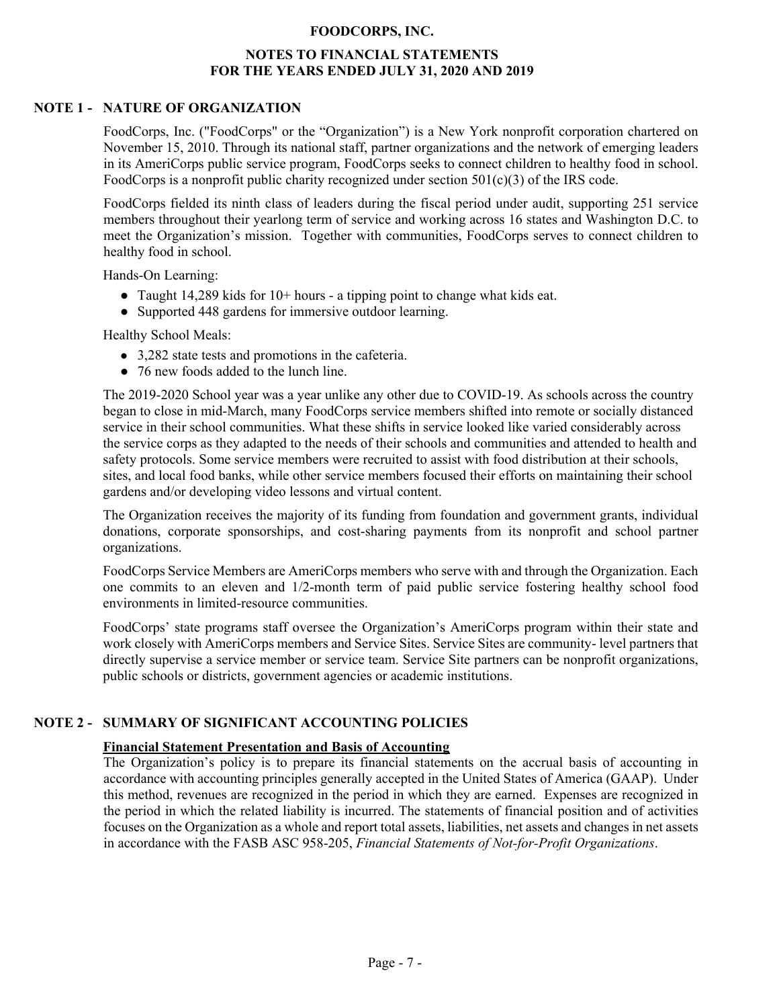#### **NOTES TO FINANCIAL STATEMENTS FOR THE YEARS ENDED JULY 31, 2020 AND 2019**

#### **NOTE 1 - NATURE OF ORGANIZATION**

FoodCorps, Inc. ("FoodCorps" or the "Organization") is a New York nonprofit corporation chartered on November 15, 2010. Through its national staff, partner organizations and the network of emerging leaders in its AmeriCorps public service program, FoodCorps seeks to connect children to healthy food in school. FoodCorps is a nonprofit public charity recognized under section  $501(c)(3)$  of the IRS code.

FoodCorps fielded its ninth class of leaders during the fiscal period under audit, supporting 251 service members throughout their yearlong term of service and working across 16 states and Washington D.C. to meet the Organization's mission. Together with communities, FoodCorps serves to connect children to healthy food in school.

Hands-On Learning:

- Taught 14,289 kids for  $10+$  hours a tipping point to change what kids eat.
- Supported 448 gardens for immersive outdoor learning.

Healthy School Meals:

- 3,282 state tests and promotions in the cafeteria.
- 76 new foods added to the lunch line.

The 2019-2020 School year was a year unlike any other due to COVID-19. As schools across the country began to close in mid-March, many FoodCorps service members shifted into remote or socially distanced service in their school communities. What these shifts in service looked like varied considerably across the service corps as they adapted to the needs of their schools and communities and attended to health and safety protocols. Some service members were recruited to assist with food distribution at their schools, sites, and local food banks, while other service members focused their efforts on maintaining their school gardens and/or developing video lessons and virtual content.

The Organization receives the majority of its funding from foundation and government grants, individual donations, corporate sponsorships, and cost-sharing payments from its nonprofit and school partner organizations.

FoodCorps Service Members are AmeriCorps members who serve with and through the Organization. Each one commits to an eleven and 1/2-month term of paid public service fostering healthy school food environments in limited-resource communities.

FoodCorps' state programs staff oversee the Organization's AmeriCorps program within their state and work closely with AmeriCorps members and Service Sites. Service Sites are community- level partners that directly supervise a service member or service team. Service Site partners can be nonprofit organizations, public schools or districts, government agencies or academic institutions.

#### **NOTE 2 - SUMMARY OF SIGNIFICANT ACCOUNTING POLICIES**

#### **Financial Statement Presentation and Basis of Accounting**

The Organization's policy is to prepare its financial statements on the accrual basis of accounting in accordance with accounting principles generally accepted in the United States of America (GAAP). Under this method, revenues are recognized in the period in which they are earned. Expenses are recognized in the period in which the related liability is incurred. The statements of financial position and of activities focuses on the Organization as a whole and report total assets, liabilities, net assets and changes in net assets in accordance with the FASB ASC 958-205, *Financial Statements of Not-for-Profit Organizations*.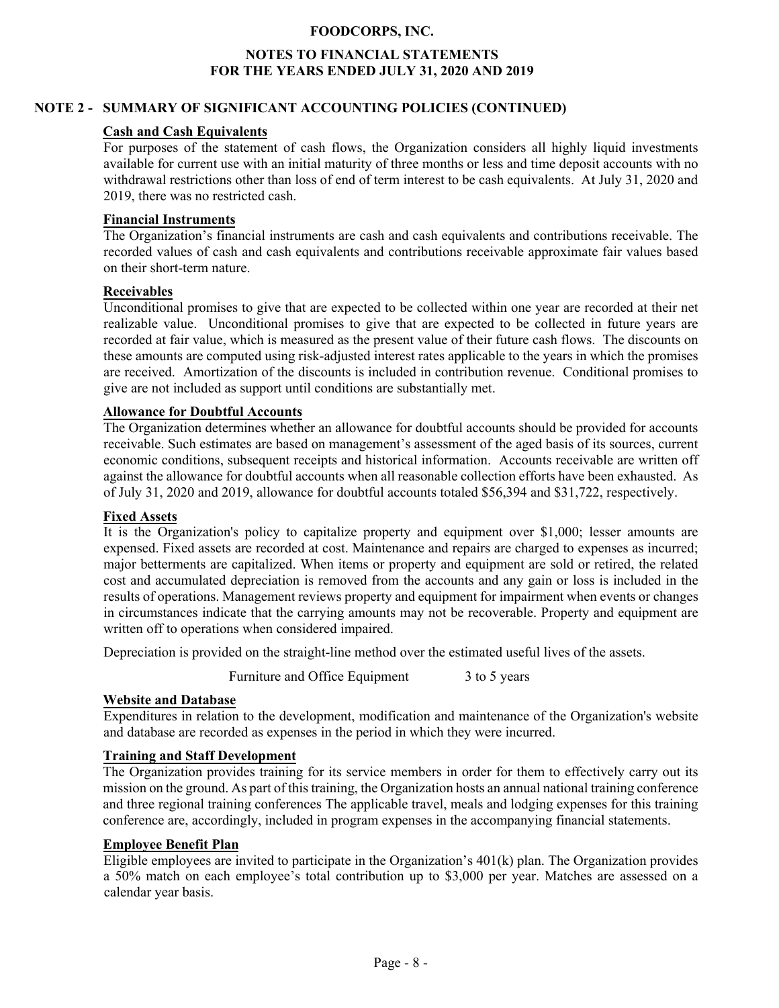#### **NOTES TO FINANCIAL STATEMENTS FOR THE YEARS ENDED JULY 31, 2020 AND 2019**

#### **NOTE 2 - SUMMARY OF SIGNIFICANT ACCOUNTING POLICIES (CONTINUED)**

#### **Cash and Cash Equivalents**

For purposes of the statement of cash flows, the Organization considers all highly liquid investments available for current use with an initial maturity of three months or less and time deposit accounts with no withdrawal restrictions other than loss of end of term interest to be cash equivalents. At July 31, 2020 and 2019, there was no restricted cash.

#### **Financial Instruments**

The Organization's financial instruments are cash and cash equivalents and contributions receivable. The recorded values of cash and cash equivalents and contributions receivable approximate fair values based on their short-term nature.

#### **Receivables**

Unconditional promises to give that are expected to be collected within one year are recorded at their net realizable value. Unconditional promises to give that are expected to be collected in future years are recorded at fair value, which is measured as the present value of their future cash flows. The discounts on these amounts are computed using risk-adjusted interest rates applicable to the years in which the promises are received. Amortization of the discounts is included in contribution revenue. Conditional promises to give are not included as support until conditions are substantially met.

#### **Allowance for Doubtful Accounts**

The Organization determines whether an allowance for doubtful accounts should be provided for accounts receivable. Such estimates are based on management's assessment of the aged basis of its sources, current economic conditions, subsequent receipts and historical information. Accounts receivable are written off against the allowance for doubtful accounts when all reasonable collection efforts have been exhausted. As of July 31, 2020 and 2019, allowance for doubtful accounts totaled \$56,394 and \$31,722, respectively.

#### **Fixed Assets**

It is the Organization's policy to capitalize property and equipment over \$1,000; lesser amounts are expensed. Fixed assets are recorded at cost. Maintenance and repairs are charged to expenses as incurred; major betterments are capitalized. When items or property and equipment are sold or retired, the related cost and accumulated depreciation is removed from the accounts and any gain or loss is included in the results of operations. Management reviews property and equipment for impairment when events or changes in circumstances indicate that the carrying amounts may not be recoverable. Property and equipment are written off to operations when considered impaired.

Depreciation is provided on the straight-line method over the estimated useful lives of the assets.

Furniture and Office Equipment 3 to 5 years

#### **Website and Database**

Expenditures in relation to the development, modification and maintenance of the Organization's website and database are recorded as expenses in the period in which they were incurred.

#### **Training and Staff Development**

The Organization provides training for its service members in order for them to effectively carry out its mission on the ground. As part of this training, the Organization hosts an annual national training conference and three regional training conferences The applicable travel, meals and lodging expenses for this training conference are, accordingly, included in program expenses in the accompanying financial statements.

#### **Employee Benefit Plan**

Eligible employees are invited to participate in the Organization's 401(k) plan. The Organization provides a 50% match on each employee's total contribution up to \$3,000 per year. Matches are assessed on a calendar year basis.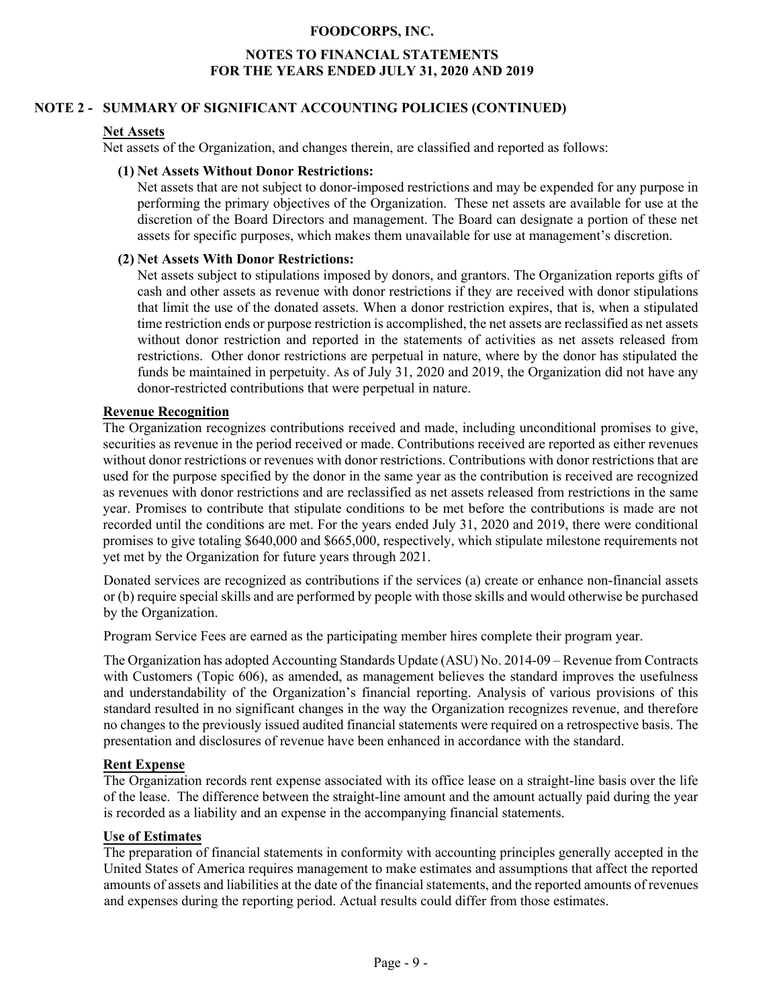#### **NOTES TO FINANCIAL STATEMENTS FOR THE YEARS ENDED JULY 31, 2020 AND 2019**

#### **NOTE 2 - SUMMARY OF SIGNIFICANT ACCOUNTING POLICIES (CONTINUED)**

#### **Net Assets**

Net assets of the Organization, and changes therein, are classified and reported as follows:

#### **(1) Net Assets Without Donor Restrictions:**

Net assets that are not subject to donor-imposed restrictions and may be expended for any purpose in performing the primary objectives of the Organization. These net assets are available for use at the discretion of the Board Directors and management. The Board can designate a portion of these net assets for specific purposes, which makes them unavailable for use at management's discretion.

#### **(2) Net Assets With Donor Restrictions:**

Net assets subject to stipulations imposed by donors, and grantors. The Organization reports gifts of cash and other assets as revenue with donor restrictions if they are received with donor stipulations that limit the use of the donated assets. When a donor restriction expires, that is, when a stipulated time restriction ends or purpose restriction is accomplished, the net assets are reclassified as net assets without donor restriction and reported in the statements of activities as net assets released from restrictions. Other donor restrictions are perpetual in nature, where by the donor has stipulated the funds be maintained in perpetuity. As of July 31, 2020 and 2019, the Organization did not have any donor-restricted contributions that were perpetual in nature.

#### **Revenue Recognition**

The Organization recognizes contributions received and made, including unconditional promises to give, securities as revenue in the period received or made. Contributions received are reported as either revenues without donor restrictions or revenues with donor restrictions. Contributions with donor restrictions that are used for the purpose specified by the donor in the same year as the contribution is received are recognized as revenues with donor restrictions and are reclassified as net assets released from restrictions in the same year. Promises to contribute that stipulate conditions to be met before the contributions is made are not recorded until the conditions are met. For the years ended July 31, 2020 and 2019, there were conditional promises to give totaling \$640,000 and \$665,000, respectively, which stipulate milestone requirements not yet met by the Organization for future years through 2021.

Donated services are recognized as contributions if the services (a) create or enhance non-financial assets or (b) require special skills and are performed by people with those skills and would otherwise be purchased by the Organization.

Program Service Fees are earned as the participating member hires complete their program year.

The Organization has adopted Accounting Standards Update (ASU) No. 2014-09 – Revenue from Contracts with Customers (Topic 606), as amended, as management believes the standard improves the usefulness and understandability of the Organization's financial reporting. Analysis of various provisions of this standard resulted in no significant changes in the way the Organization recognizes revenue, and therefore no changes to the previously issued audited financial statements were required on a retrospective basis. The presentation and disclosures of revenue have been enhanced in accordance with the standard.

#### **Rent Expense**

The Organization records rent expense associated with its office lease on a straight-line basis over the life of the lease. The difference between the straight-line amount and the amount actually paid during the year is recorded as a liability and an expense in the accompanying financial statements.

#### **Use of Estimates**

The preparation of financial statements in conformity with accounting principles generally accepted in the United States of America requires management to make estimates and assumptions that affect the reported amounts of assets and liabilities at the date of the financial statements, and the reported amounts of revenues and expenses during the reporting period. Actual results could differ from those estimates.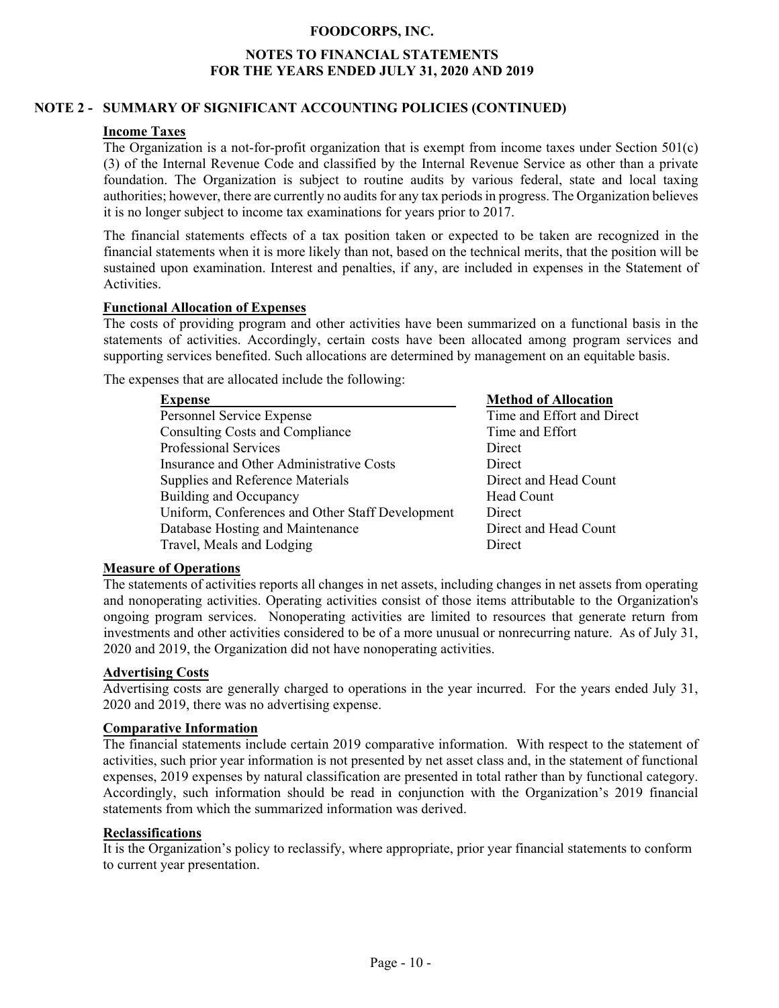#### **NOTES TO FINANCIAL STATEMENTS FOR THE YEARS ENDED JULY 31, 2020 AND 2019**

#### **NOTE 2 - SUMMARY OF SIGNIFICANT ACCOUNTING POLICIES (CONTINUED)**

#### **Income Taxes**

The Organization is a not-for-profit organization that is exempt from income taxes under Section 501(c) (3) of the Internal Revenue Code and classified by the Internal Revenue Service as other than a private foundation. The Organization is subject to routine audits by various federal, state and local taxing authorities; however, there are currently no audits for any tax periods in progress. The Organization believes it is no longer subject to income tax examinations for years prior to 2017.

The financial statements effects of a tax position taken or expected to be taken are recognized in the financial statements when it is more likely than not, based on the technical merits, that the position will be sustained upon examination. Interest and penalties, if any, are included in expenses in the Statement of **Activities** 

#### **Functional Allocation of Expenses**

The costs of providing program and other activities have been summarized on a functional basis in the statements of activities. Accordingly, certain costs have been allocated among program services and supporting services benefited. Such allocations are determined by management on an equitable basis.

The expenses that are allocated include the following:

| <b>Expense</b>                                   | <b>Method of Allocation</b> |
|--------------------------------------------------|-----------------------------|
| Personnel Service Expense                        | Time and Effort and Direct  |
| <b>Consulting Costs and Compliance</b>           | Time and Effort             |
| <b>Professional Services</b>                     | Direct                      |
| Insurance and Other Administrative Costs         | <b>Direct</b>               |
| Supplies and Reference Materials                 | Direct and Head Count       |
| Building and Occupancy                           | Head Count                  |
| Uniform, Conferences and Other Staff Development | <b>Direct</b>               |
| Database Hosting and Maintenance                 | Direct and Head Count       |
| Travel, Meals and Lodging                        | Direct                      |

#### **Measure of Operations**

The statements of activities reports all changes in net assets, including changes in net assets from operating and nonoperating activities. Operating activities consist of those items attributable to the Organization's ongoing program services. Nonoperating activities are limited to resources that generate return from investments and other activities considered to be of a more unusual or nonrecurring nature. As of July 31, 2020 and 2019, the Organization did not have nonoperating activities.

#### **Advertising Costs**

Advertising costs are generally charged to operations in the year incurred. For the years ended July 31, 2020 and 2019, there was no advertising expense.

#### **Comparative Information**

The financial statements include certain 2019 comparative information. With respect to the statement of activities, such prior year information is not presented by net asset class and, in the statement of functional expenses, 2019 expenses by natural classification are presented in total rather than by functional category. Accordingly, such information should be read in conjunction with the Organization's 2019 financial statements from which the summarized information was derived.

#### **Reclassifications**

It is the Organization's policy to reclassify, where appropriate, prior year financial statements to conform to current year presentation.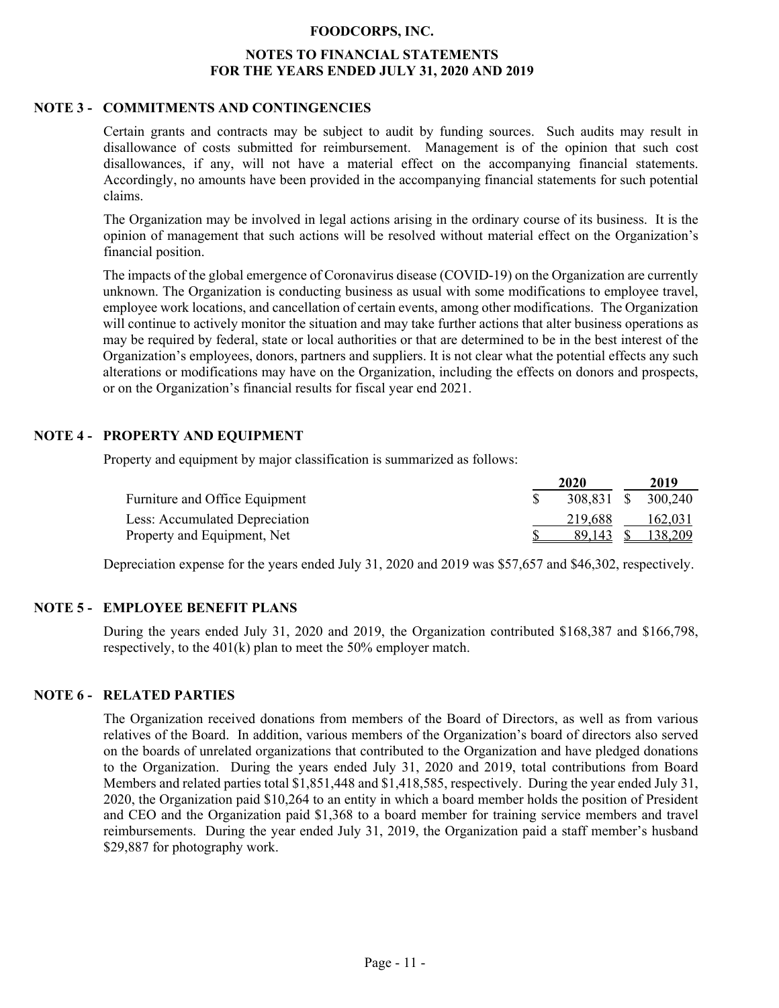#### **NOTES TO FINANCIAL STATEMENTS FOR THE YEARS ENDED JULY 31, 2020 AND 2019**

#### **NOTE 3 - COMMITMENTS AND CONTINGENCIES**

Certain grants and contracts may be subject to audit by funding sources. Such audits may result in disallowance of costs submitted for reimbursement. Management is of the opinion that such cost disallowances, if any, will not have a material effect on the accompanying financial statements. Accordingly, no amounts have been provided in the accompanying financial statements for such potential claims.

The Organization may be involved in legal actions arising in the ordinary course of its business. It is the opinion of management that such actions will be resolved without material effect on the Organization's financial position.

The impacts of the global emergence of Coronavirus disease (COVID-19) on the Organization are currently unknown. The Organization is conducting business as usual with some modifications to employee travel, employee work locations, and cancellation of certain events, among other modifications. The Organization will continue to actively monitor the situation and may take further actions that alter business operations as may be required by federal, state or local authorities or that are determined to be in the best interest of the Organization's employees, donors, partners and suppliers. It is not clear what the potential effects any such alterations or modifications may have on the Organization, including the effects on donors and prospects, or on the Organization's financial results for fiscal year end 2021.

#### **NOTE 4 - PROPERTY AND EQUIPMENT**

Property and equipment by major classification is summarized as follows:

|                                | 2020               | 2019              |
|--------------------------------|--------------------|-------------------|
| Furniture and Office Equipment | 308,831 \$ 300,240 |                   |
| Less: Accumulated Depreciation | 219.688            | 162,031           |
| Property and Equipment, Net    |                    | 89,143 \$ 138,209 |

Depreciation expense for the years ended July 31, 2020 and 2019 was \$57,657 and \$46,302, respectively.

#### **NOTE 5 - EMPLOYEE BENEFIT PLANS**

During the years ended July 31, 2020 and 2019, the Organization contributed \$168,387 and \$166,798, respectively, to the 401(k) plan to meet the 50% employer match.

#### **NOTE 6 - RELATED PARTIES**

The Organization received donations from members of the Board of Directors, as well as from various relatives of the Board. In addition, various members of the Organization's board of directors also served on the boards of unrelated organizations that contributed to the Organization and have pledged donations to the Organization. During the years ended July 31, 2020 and 2019, total contributions from Board Members and related parties total \$1,851,448 and \$1,418,585, respectively. During the year ended July 31, 2020, the Organization paid \$10,264 to an entity in which a board member holds the position of President and CEO and the Organization paid \$1,368 to a board member for training service members and travel reimbursements. During the year ended July 31, 2019, the Organization paid a staff member's husband \$29,887 for photography work.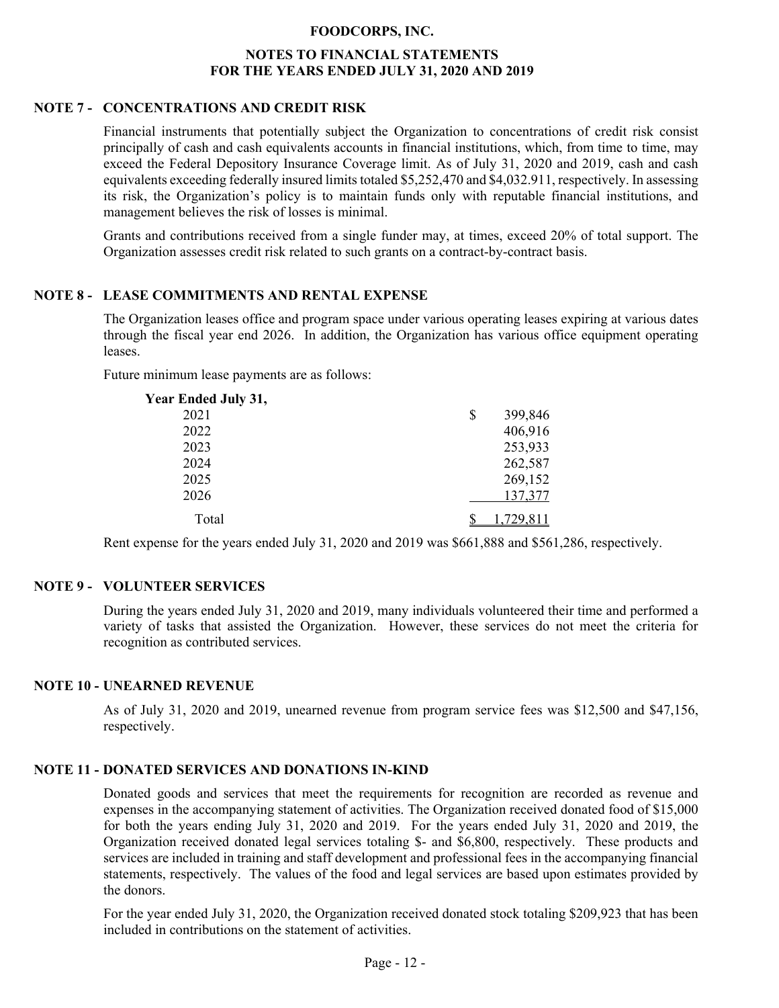#### **NOTES TO FINANCIAL STATEMENTS FOR THE YEARS ENDED JULY 31, 2020 AND 2019**

#### **NOTE 7 - CONCENTRATIONS AND CREDIT RISK**

Financial instruments that potentially subject the Organization to concentrations of credit risk consist principally of cash and cash equivalents accounts in financial institutions, which, from time to time, may exceed the Federal Depository Insurance Coverage limit. As of July 31, 2020 and 2019, cash and cash equivalents exceeding federally insured limits totaled \$5,252,470 and \$4,032.911, respectively. In assessing its risk, the Organization's policy is to maintain funds only with reputable financial institutions, and management believes the risk of losses is minimal.

Grants and contributions received from a single funder may, at times, exceed 20% of total support. The Organization assesses credit risk related to such grants on a contract-by-contract basis.

#### **NOTE 8 - LEASE COMMITMENTS AND RENTAL EXPENSE**

The Organization leases office and program space under various operating leases expiring at various dates through the fiscal year end 2026. In addition, the Organization has various office equipment operating leases.

Future minimum lease payments are as follows:

| Year Ended July 31, |               |
|---------------------|---------------|
| 2021                | \$<br>399,846 |
| 2022                | 406,916       |
| 2023                | 253,933       |
| 2024                | 262,587       |
| 2025                | 269,152       |
| 2026                | 137,377       |
| Total               | 1.729.811     |

Rent expense for the years ended July 31, 2020 and 2019 was \$661,888 and \$561,286, respectively.

#### **NOTE 9 - VOLUNTEER SERVICES**

During the years ended July 31, 2020 and 2019, many individuals volunteered their time and performed a variety of tasks that assisted the Organization. However, these services do not meet the criteria for recognition as contributed services.

#### **NOTE 10 - UNEARNED REVENUE**

As of July 31, 2020 and 2019, unearned revenue from program service fees was \$12,500 and \$47,156, respectively.

#### **NOTE 11 - DONATED SERVICES AND DONATIONS IN-KIND**

Donated goods and services that meet the requirements for recognition are recorded as revenue and expenses in the accompanying statement of activities. The Organization received donated food of \$15,000 for both the years ending July 31, 2020 and 2019. For the years ended July 31, 2020 and 2019, the Organization received donated legal services totaling \$- and \$6,800, respectively. These products and services are included in training and staff development and professional fees in the accompanying financial statements, respectively. The values of the food and legal services are based upon estimates provided by the donors.

For the year ended July 31, 2020, the Organization received donated stock totaling \$209,923 that has been included in contributions on the statement of activities.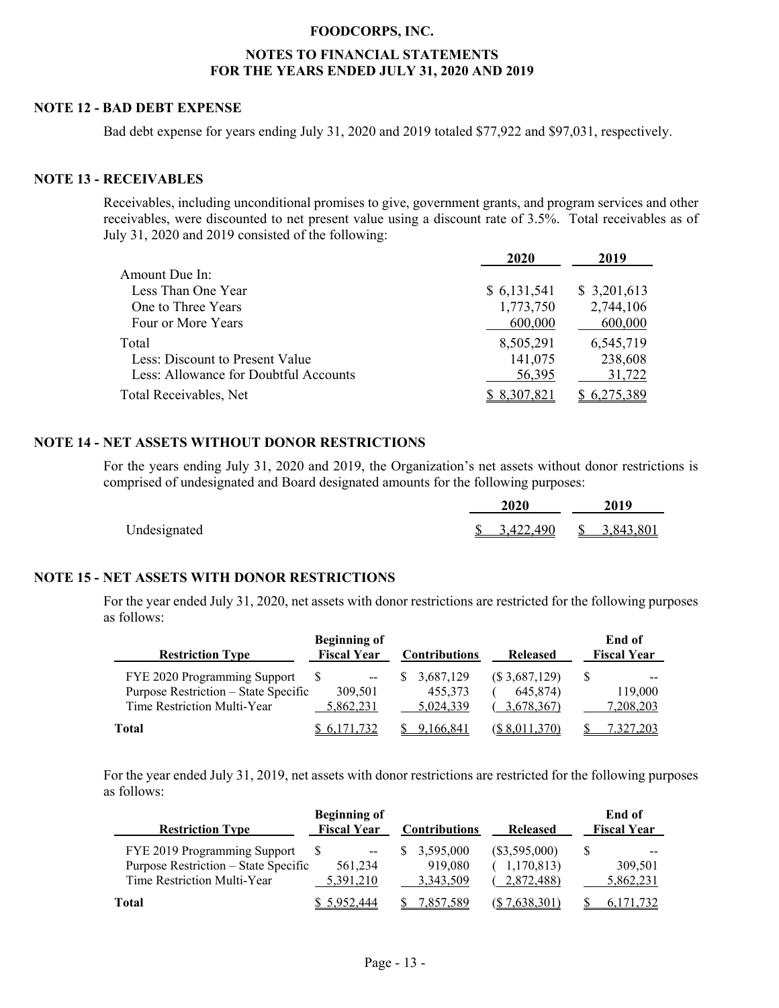#### **NOTES TO FINANCIAL STATEMENTS FOR THE YEARS ENDED JULY 31, 2020 AND 2019**

#### **NOTE 12 - BAD DEBT EXPENSE**

Bad debt expense for years ending July 31, 2020 and 2019 totaled \$77,922 and \$97,031, respectively.

#### **NOTE 13 - RECEIVABLES**

Receivables, including unconditional promises to give, government grants, and program services and other receivables, were discounted to net present value using a discount rate of 3.5%. Total receivables as of July 31, 2020 and 2019 consisted of the following:

|                                       | 2020         | 2019        |
|---------------------------------------|--------------|-------------|
| Amount Due In:                        |              |             |
| Less Than One Year                    | \$ 6,131,541 | \$3,201,613 |
| One to Three Years                    | 1,773,750    | 2,744,106   |
| Four or More Years                    | 600,000      | 600,000     |
| Total                                 | 8,505,291    | 6,545,719   |
| Less: Discount to Present Value       | 141,075      | 238,608     |
| Less: Allowance for Doubtful Accounts | 56,395       | 31,722      |
| Total Receivables, Net                | \$ 8,307,821 |             |

#### **NOTE 14 - NET ASSETS WITHOUT DONOR RESTRICTIONS**

For the years ending July 31, 2020 and 2019, the Organization's net assets without donor restrictions is comprised of undesignated and Board designated amounts for the following purposes:

|              | <b>2020</b> | 2019                                  |  |  |
|--------------|-------------|---------------------------------------|--|--|
| Undesignated |             | $\frac{1}{2}$ 3,422,490 \ \ 3,843,801 |  |  |

#### **NOTE 15 - NET ASSETS WITH DONOR RESTRICTIONS**

For the year ended July 31, 2020, net assets with donor restrictions are restricted for the following purposes as follows:

| <b>Restriction Type</b>                                                                             | <b>Beginning of</b><br><b>Fiscal Year</b> | <b>Contributions</b>              | <b>Released</b>                         | End of<br><b>Fiscal Year</b> |
|-----------------------------------------------------------------------------------------------------|-------------------------------------------|-----------------------------------|-----------------------------------------|------------------------------|
| FYE 2020 Programming Support<br>Purpose Restriction - State Specific<br>Time Restriction Multi-Year | 309.501<br>5,862,231                      | 3,687,129<br>455,373<br>5,024,339 | (\$3,687,129)<br>645,874)<br>3,678,367) | 119,000<br>7,208,203         |
| Total                                                                                               |                                           | .166.841                          |                                         | 327,203                      |

For the year ended July 31, 2019, net assets with donor restrictions are restricted for the following purposes as follows:

| <b>Restriction Type</b>              | <b>Beginning of</b><br><b>Fiscal Year</b> | <b>Contributions</b> | <b>Released</b> | End of<br><b>Fiscal Year</b> |
|--------------------------------------|-------------------------------------------|----------------------|-----------------|------------------------------|
| FYE 2019 Programming Support         | $- -$                                     | 3.595,000            | $(\$3,595,000)$ |                              |
| Purpose Restriction – State Specific | 561,234                                   | 919,080              | 1,170,813       | 309.501                      |
| Time Restriction Multi-Year          | 5.391.210                                 | 3,343,509            | 2,872,488)      | 5,862,231                    |
| Total                                | 5,952,444                                 | 857,589.             | 7.638.301)      |                              |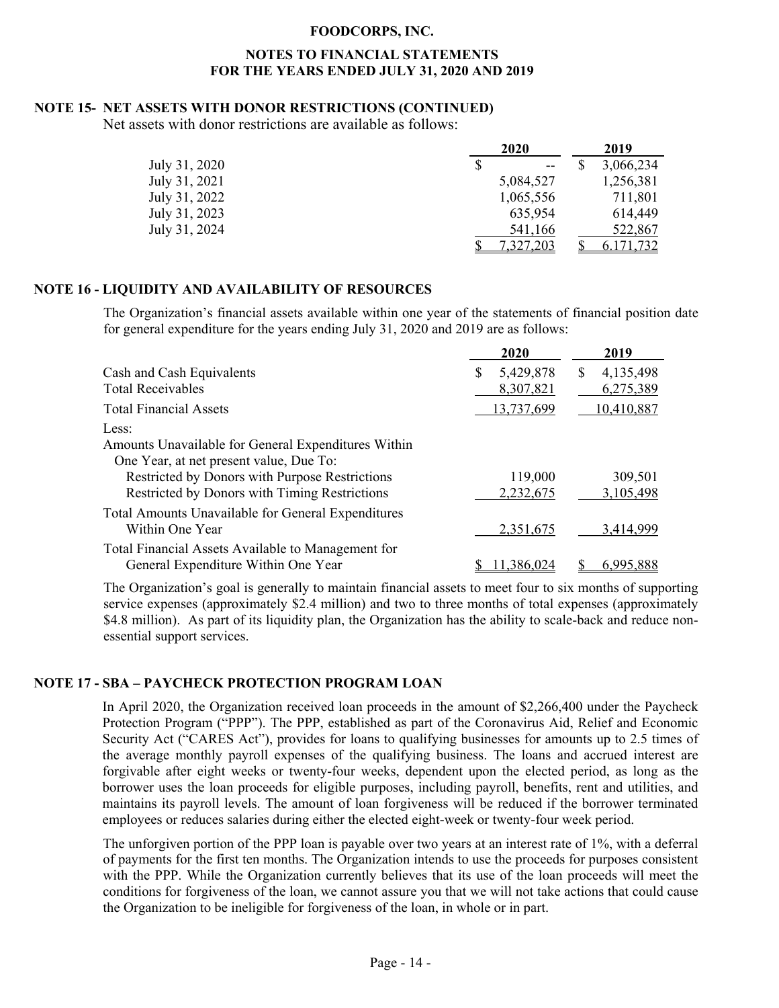#### **NOTES TO FINANCIAL STATEMENTS FOR THE YEARS ENDED JULY 31, 2020 AND 2019**

#### **NOTE 15- NET ASSETS WITH DONOR RESTRICTIONS (CONTINUED)**

Net assets with donor restrictions are available as follows:

|               | 2020        | 2019      |
|---------------|-------------|-----------|
| July 31, 2020 | \$<br>$- -$ | 3,066,234 |
| July 31, 2021 | 5,084,527   | 1,256,381 |
| July 31, 2022 | 1,065,556   | 711,801   |
| July 31, 2023 | 635,954     | 614,449   |
| July 31, 2024 | 541,166     | 522,867   |
|               | 7,327,203   | 6.171,732 |

#### **NOTE 16 - LIQUIDITY AND AVAILABILITY OF RESOURCES**

The Organization's financial assets available within one year of the statements of financial position date for general expenditure for the years ending July 31, 2020 and 2019 are as follows:

|                                                     | 2020           | 2019           |
|-----------------------------------------------------|----------------|----------------|
| Cash and Cash Equivalents                           | 5,429,878<br>S | 4,135,498<br>S |
| <b>Total Receivables</b>                            | 8,307,821      | 6,275,389      |
| <b>Total Financial Assets</b>                       | 13,737,699     | 10,410,887     |
| Less:                                               |                |                |
| Amounts Unavailable for General Expenditures Within |                |                |
| One Year, at net present value, Due To:             |                |                |
| Restricted by Donors with Purpose Restrictions      | 119,000        | 309,501        |
| Restricted by Donors with Timing Restrictions       | 2,232,675      | 3,105,498      |
| Total Amounts Unavailable for General Expenditures  |                |                |
| Within One Year                                     | 2,351,675      | 3,414,999      |
| Total Financial Assets Available to Management for  |                |                |
| General Expenditure Within One Year                 | .386.024       | 6.995.888      |

The Organization's goal is generally to maintain financial assets to meet four to six months of supporting service expenses (approximately \$2.4 million) and two to three months of total expenses (approximately \$4.8 million). As part of its liquidity plan, the Organization has the ability to scale-back and reduce nonessential support services.

#### **NOTE 17 - SBA – PAYCHECK PROTECTION PROGRAM LOAN**

In April 2020, the Organization received loan proceeds in the amount of \$2,266,400 under the Paycheck Protection Program ("PPP"). The PPP, established as part of the Coronavirus Aid, Relief and Economic Security Act ("CARES Act"), provides for loans to qualifying businesses for amounts up to 2.5 times of the average monthly payroll expenses of the qualifying business. The loans and accrued interest are forgivable after eight weeks or twenty-four weeks, dependent upon the elected period, as long as the borrower uses the loan proceeds for eligible purposes, including payroll, benefits, rent and utilities, and maintains its payroll levels. The amount of loan forgiveness will be reduced if the borrower terminated employees or reduces salaries during either the elected eight-week or twenty-four week period.

The unforgiven portion of the PPP loan is payable over two years at an interest rate of 1%, with a deferral of payments for the first ten months. The Organization intends to use the proceeds for purposes consistent with the PPP. While the Organization currently believes that its use of the loan proceeds will meet the conditions for forgiveness of the loan, we cannot assure you that we will not take actions that could cause the Organization to be ineligible for forgiveness of the loan, in whole or in part.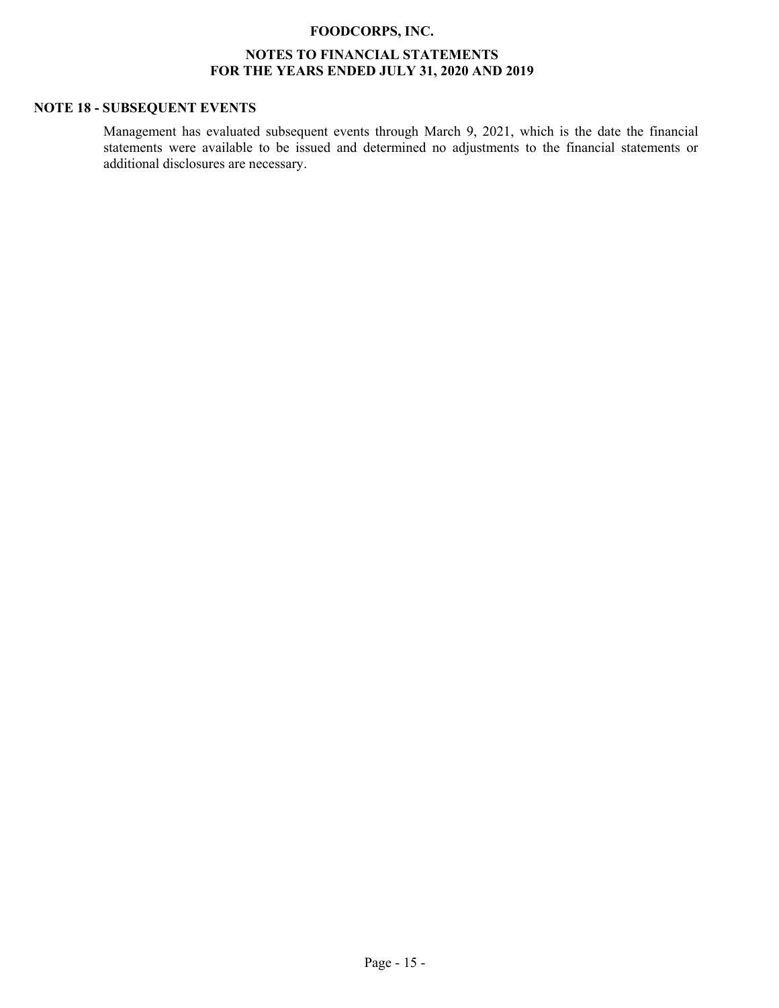#### **NOTES TO FINANCIAL STATEMENTS FOR THE YEARS ENDED JULY 31, 2020 AND 2019**

#### **NOTE 18 - SUBSEQUENT EVENTS**

Management has evaluated subsequent events through March 9, 2021, which is the date the financial statements were available to be issued and determined no adjustments to the financial statements or additional disclosures are necessary.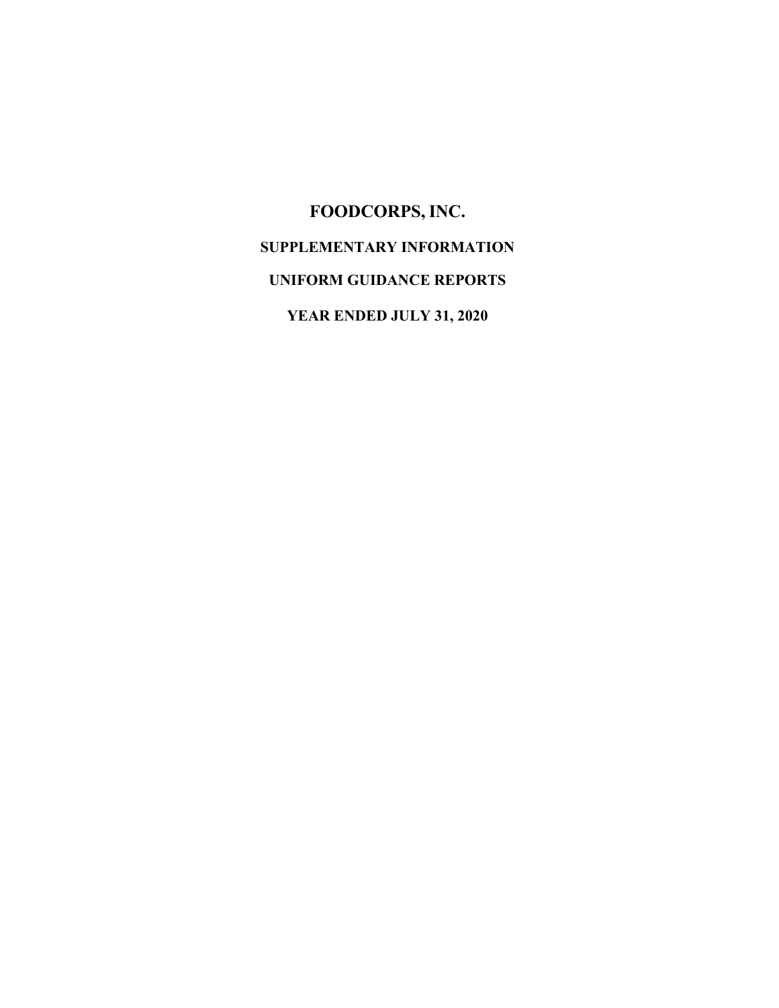# **FOODCORPS, INC. SUPPLEMENTARY INFORMATION UNIFORM GUIDANCE REPORTS YEAR ENDED JULY 31, 2020**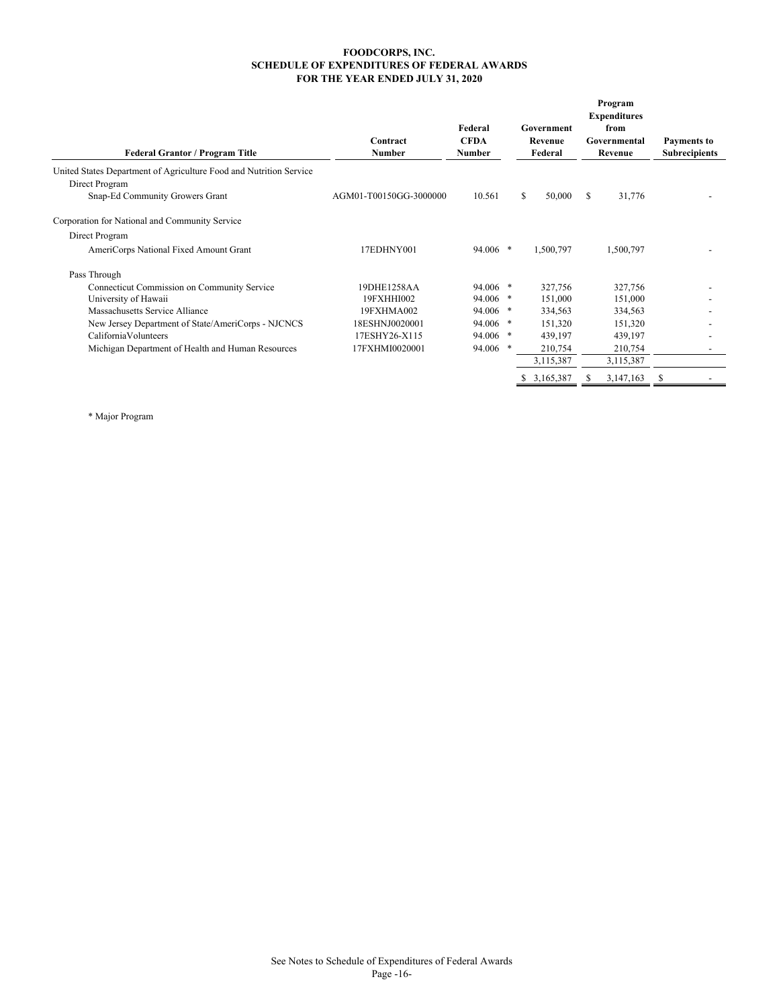#### **FOODCORPS, INC. SCHEDULE OF EXPENDITURES OF FEDERAL AWARDS FOR THE YEAR ENDED JULY 31, 2020**

| <b>Federal Grantor / Program Title</b>                                                                                  | Contract<br><b>Number</b> | Federal<br><b>CFDA</b><br><b>Number</b> |    | Government<br>Revenue<br>Federal |   | Program<br><b>Expenditures</b><br>from<br>Governmental<br>Revenue | Payments to<br><b>Subrecipients</b> |
|-------------------------------------------------------------------------------------------------------------------------|---------------------------|-----------------------------------------|----|----------------------------------|---|-------------------------------------------------------------------|-------------------------------------|
| United States Department of Agriculture Food and Nutrition Service<br>Direct Program<br>Snap-Ed Community Growers Grant | AGM01-T00150GG-3000000    | 10.561                                  | \$ | 50,000                           | S | 31,776                                                            |                                     |
| Corporation for National and Community Service                                                                          |                           |                                         |    |                                  |   |                                                                   |                                     |
| Direct Program                                                                                                          |                           |                                         |    |                                  |   |                                                                   |                                     |
| AmeriCorps National Fixed Amount Grant                                                                                  | 17EDHNY001                | $94.006$ *                              |    | 1,500,797                        |   | 1,500,797                                                         |                                     |
| Pass Through                                                                                                            |                           |                                         |    |                                  |   |                                                                   |                                     |
| Connecticut Commission on Community Service                                                                             | 19DHE1258AA               | 94.006 *                                |    | 327,756                          |   | 327,756                                                           |                                     |
| University of Hawaii                                                                                                    | 19FXHHI002                | 94.006 *                                |    | 151,000                          |   | 151,000                                                           |                                     |
| Massachusetts Service Alliance                                                                                          | 19FXHMA002                | 94.006 *                                |    | 334,563                          |   | 334,563                                                           |                                     |
| New Jersey Department of State/AmeriCorps - NJCNCS                                                                      | 18ESHNJ0020001            | $94.006$ *                              |    | 151,320                          |   | 151,320                                                           |                                     |
| CaliforniaVolunteers                                                                                                    | 17ESHY26-X115             | $94.006$ *                              |    | 439,197                          |   | 439,197                                                           |                                     |
| Michigan Department of Health and Human Resources                                                                       | 17FXHMI0020001            | 94.006 *                                |    | 210,754                          |   | 210,754                                                           |                                     |
|                                                                                                                         |                           |                                         |    | 3,115,387                        |   | 3,115,387                                                         |                                     |
|                                                                                                                         |                           |                                         | S. | 3,165,387                        | S | 3,147,163                                                         | \$                                  |

\* Major Program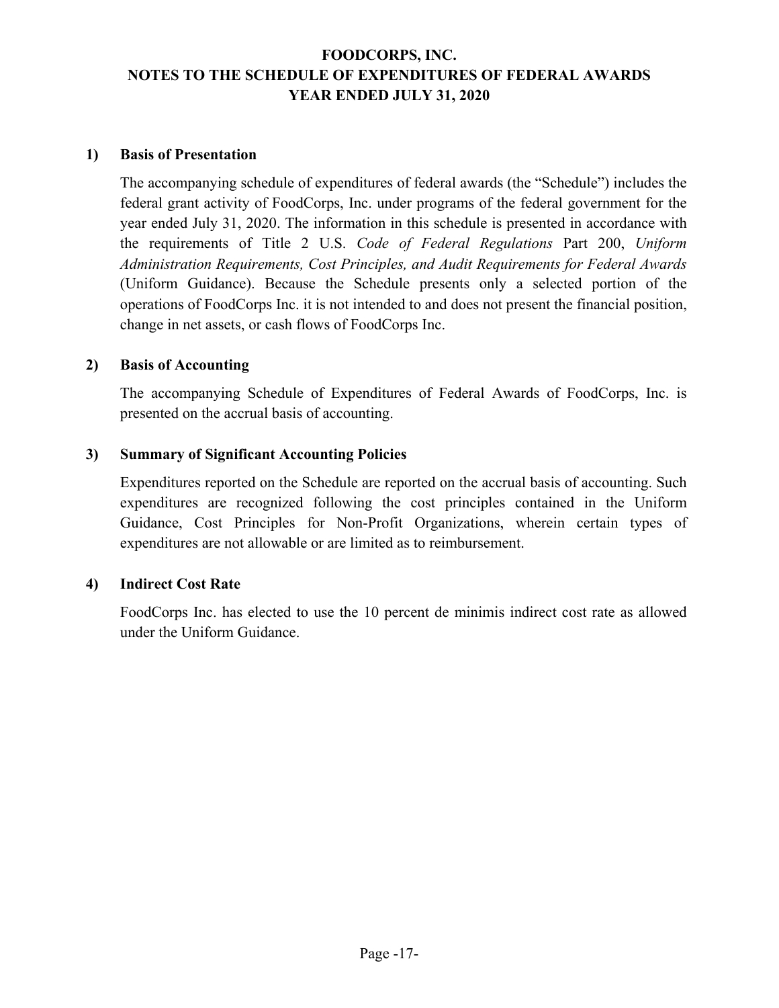## **FOODCORPS, INC. NOTES TO THE SCHEDULE OF EXPENDITURES OF FEDERAL AWARDS YEAR ENDED JULY 31, 2020**

#### **1) Basis of Presentation**

The accompanying schedule of expenditures of federal awards (the "Schedule") includes the federal grant activity of FoodCorps, Inc. under programs of the federal government for the year ended July 31, 2020. The information in this schedule is presented in accordance with the requirements of Title 2 U.S. *Code of Federal Regulations* Part 200, *Uniform Administration Requirements, Cost Principles, and Audit Requirements for Federal Awards* (Uniform Guidance). Because the Schedule presents only a selected portion of the operations of FoodCorps Inc. it is not intended to and does not present the financial position, change in net assets, or cash flows of FoodCorps Inc.

#### **2) Basis of Accounting**

The accompanying Schedule of Expenditures of Federal Awards of FoodCorps, Inc. is presented on the accrual basis of accounting.

#### **3) Summary of Significant Accounting Policies**

Expenditures reported on the Schedule are reported on the accrual basis of accounting. Such expenditures are recognized following the cost principles contained in the Uniform Guidance, Cost Principles for Non-Profit Organizations, wherein certain types of expenditures are not allowable or are limited as to reimbursement.

#### **4) Indirect Cost Rate**

FoodCorps Inc. has elected to use the 10 percent de minimis indirect cost rate as allowed under the Uniform Guidance.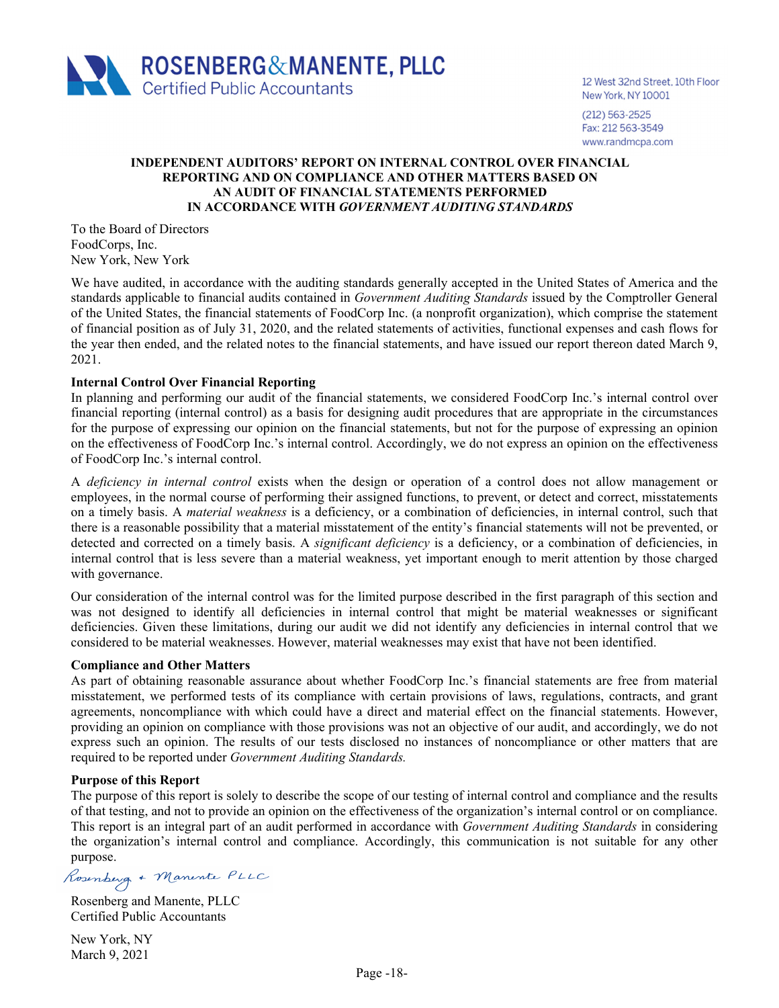

12 West 32nd Street, 10th Floor New York, NY 10001

 $(212) 563 - 2525$ Fax: 212 563-3549 www.randmcpa.com

#### **INDEPENDENT AUDITORS' REPORT ON INTERNAL CONTROL OVER FINANCIAL REPORTING AND ON COMPLIANCE AND OTHER MATTERS BASED ON AN AUDIT OF FINANCIAL STATEMENTS PERFORMED IN ACCORDANCE WITH** *GOVERNMENT AUDITING STANDARDS*

To the Board of Directors FoodCorps, Inc. New York, New York

We have audited, in accordance with the auditing standards generally accepted in the United States of America and the standards applicable to financial audits contained in *Government Auditing Standards* issued by the Comptroller General of the United States, the financial statements of FoodCorp Inc. (a nonprofit organization), which comprise the statement of financial position as of July 31, 2020, and the related statements of activities, functional expenses and cash flows for the year then ended, and the related notes to the financial statements, and have issued our report thereon dated March 9, 2021.

#### **Internal Control Over Financial Reporting**

In planning and performing our audit of the financial statements, we considered FoodCorp Inc.'s internal control over financial reporting (internal control) as a basis for designing audit procedures that are appropriate in the circumstances for the purpose of expressing our opinion on the financial statements, but not for the purpose of expressing an opinion on the effectiveness of FoodCorp Inc.'s internal control. Accordingly, we do not express an opinion on the effectiveness of FoodCorp Inc.'s internal control.

A *deficiency in internal control* exists when the design or operation of a control does not allow management or employees, in the normal course of performing their assigned functions, to prevent, or detect and correct, misstatements on a timely basis. A *material weakness* is a deficiency, or a combination of deficiencies, in internal control, such that there is a reasonable possibility that a material misstatement of the entity's financial statements will not be prevented, or detected and corrected on a timely basis. A *significant deficiency* is a deficiency, or a combination of deficiencies, in internal control that is less severe than a material weakness, yet important enough to merit attention by those charged with governance.

Our consideration of the internal control was for the limited purpose described in the first paragraph of this section and was not designed to identify all deficiencies in internal control that might be material weaknesses or significant deficiencies. Given these limitations, during our audit we did not identify any deficiencies in internal control that we considered to be material weaknesses. However, material weaknesses may exist that have not been identified.

#### **Compliance and Other Matters**

As part of obtaining reasonable assurance about whether FoodCorp Inc.'s financial statements are free from material misstatement, we performed tests of its compliance with certain provisions of laws, regulations, contracts, and grant agreements, noncompliance with which could have a direct and material effect on the financial statements. However, providing an opinion on compliance with those provisions was not an objective of our audit, and accordingly, we do not express such an opinion. The results of our tests disclosed no instances of noncompliance or other matters that are required to be reported under *Government Auditing Standards.* 

#### **Purpose of this Report**

The purpose of this report is solely to describe the scope of our testing of internal control and compliance and the results of that testing, and not to provide an opinion on the effectiveness of the organization's internal control or on compliance. This report is an integral part of an audit performed in accordance with *Government Auditing Standards* in considering the organization's internal control and compliance. Accordingly, this communication is not suitable for any other purpose.

Rosenberg + Manente PLLC

Rosenberg and Manente, PLLC Certified Public Accountants

New York, NY March 9, 2021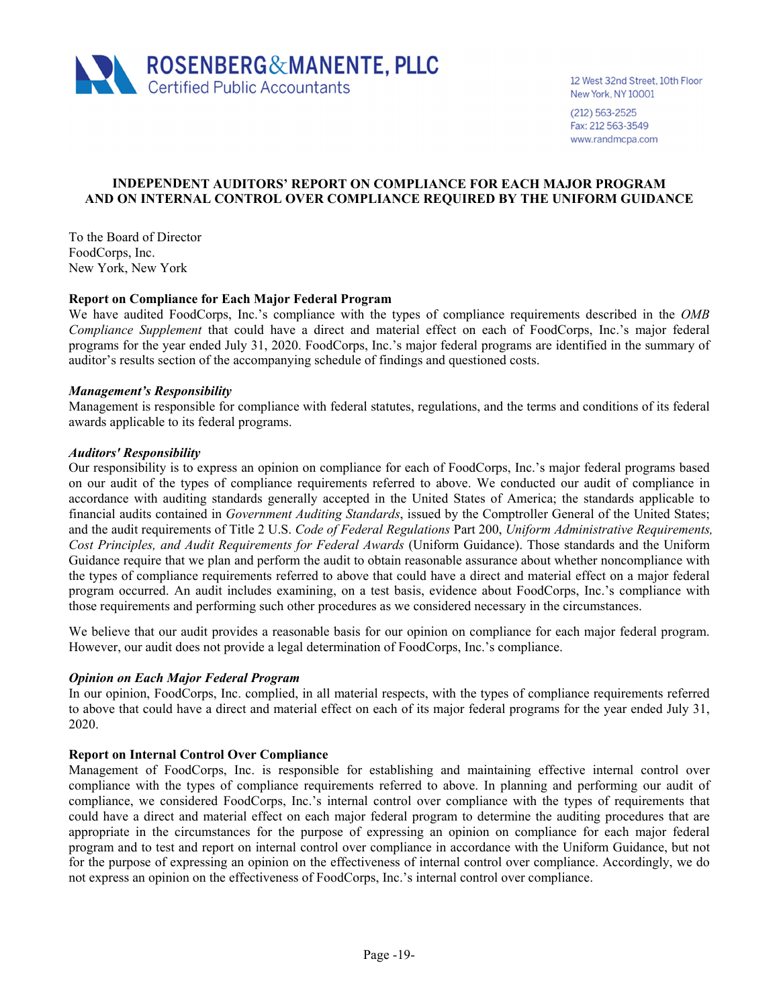

12 West 32nd Street, 10th Floor New York, NY 10001

 $(212) 563 - 2525$ Fax: 212 563-3549 www.randmcpa.com

#### **INDEPENDENT AUDITORS' REPORT ON COMPLIANCE FOR EACH MAJOR PROGRAM AND ON INTERNAL CONTROL OVER COMPLIANCE REQUIRED BY THE UNIFORM GUIDANCE**

To the Board of Director FoodCorps, Inc. New York, New York

#### **Report on Compliance for Each Major Federal Program**

We have audited FoodCorps, Inc.'s compliance with the types of compliance requirements described in the *OMB Compliance Supplement* that could have a direct and material effect on each of FoodCorps, Inc.'s major federal programs for the year ended July 31, 2020. FoodCorps, Inc.'s major federal programs are identified in the summary of auditor's results section of the accompanying schedule of findings and questioned costs.

#### *Management's Responsibility*

Management is responsible for compliance with federal statutes, regulations, and the terms and conditions of its federal awards applicable to its federal programs.

#### *Auditors' Responsibility*

Our responsibility is to express an opinion on compliance for each of FoodCorps, Inc.'s major federal programs based on our audit of the types of compliance requirements referred to above. We conducted our audit of compliance in accordance with auditing standards generally accepted in the United States of America; the standards applicable to financial audits contained in *Government Auditing Standards*, issued by the Comptroller General of the United States; and the audit requirements of Title 2 U.S. *Code of Federal Regulations* Part 200, *Uniform Administrative Requirements, Cost Principles, and Audit Requirements for Federal Awards* (Uniform Guidance). Those standards and the Uniform Guidance require that we plan and perform the audit to obtain reasonable assurance about whether noncompliance with the types of compliance requirements referred to above that could have a direct and material effect on a major federal program occurred. An audit includes examining, on a test basis, evidence about FoodCorps, Inc.'s compliance with those requirements and performing such other procedures as we considered necessary in the circumstances.

We believe that our audit provides a reasonable basis for our opinion on compliance for each major federal program. However, our audit does not provide a legal determination of FoodCorps, Inc.'s compliance.

#### *Opinion on Each Major Federal Program*

In our opinion, FoodCorps, Inc. complied, in all material respects, with the types of compliance requirements referred to above that could have a direct and material effect on each of its major federal programs for the year ended July 31, 2020.

#### **Report on Internal Control Over Compliance**

Management of FoodCorps, Inc. is responsible for establishing and maintaining effective internal control over compliance with the types of compliance requirements referred to above. In planning and performing our audit of compliance, we considered FoodCorps, Inc.'s internal control over compliance with the types of requirements that could have a direct and material effect on each major federal program to determine the auditing procedures that are appropriate in the circumstances for the purpose of expressing an opinion on compliance for each major federal program and to test and report on internal control over compliance in accordance with the Uniform Guidance, but not for the purpose of expressing an opinion on the effectiveness of internal control over compliance. Accordingly, we do not express an opinion on the effectiveness of FoodCorps, Inc.'s internal control over compliance.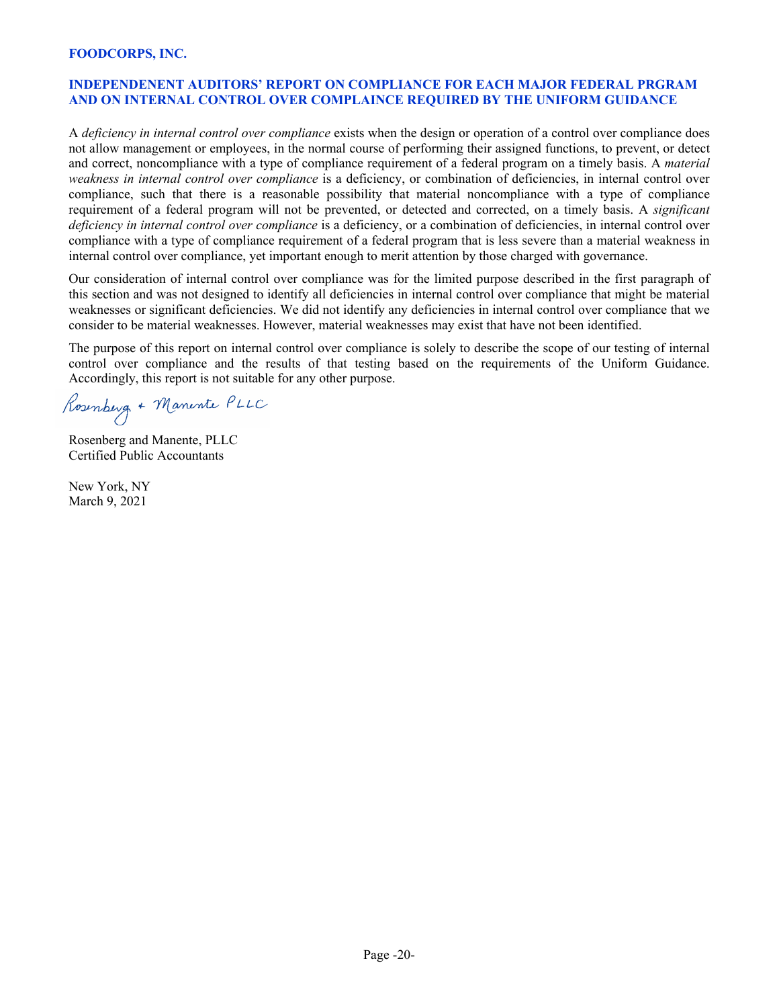#### **INDEPENDENENT AUDITORS' REPORT ON COMPLIANCE FOR EACH MAJOR FEDERAL PRGRAM AND ON INTERNAL CONTROL OVER COMPLAINCE REQUIRED BY THE UNIFORM GUIDANCE**

A *deficiency in internal control over compliance* exists when the design or operation of a control over compliance does not allow management or employees, in the normal course of performing their assigned functions, to prevent, or detect and correct, noncompliance with a type of compliance requirement of a federal program on a timely basis. A *material weakness in internal control over compliance* is a deficiency, or combination of deficiencies, in internal control over compliance, such that there is a reasonable possibility that material noncompliance with a type of compliance requirement of a federal program will not be prevented, or detected and corrected, on a timely basis. A *significant deficiency in internal control over compliance* is a deficiency, or a combination of deficiencies, in internal control over compliance with a type of compliance requirement of a federal program that is less severe than a material weakness in internal control over compliance, yet important enough to merit attention by those charged with governance.

Our consideration of internal control over compliance was for the limited purpose described in the first paragraph of this section and was not designed to identify all deficiencies in internal control over compliance that might be material weaknesses or significant deficiencies. We did not identify any deficiencies in internal control over compliance that we consider to be material weaknesses. However, material weaknesses may exist that have not been identified.

The purpose of this report on internal control over compliance is solely to describe the scope of our testing of internal control over compliance and the results of that testing based on the requirements of the Uniform Guidance. Accordingly, this report is not suitable for any other purpose.

Rosenberg + Manente PLLC

Rosenberg and Manente, PLLC Certified Public Accountants

New York, NY March 9, 2021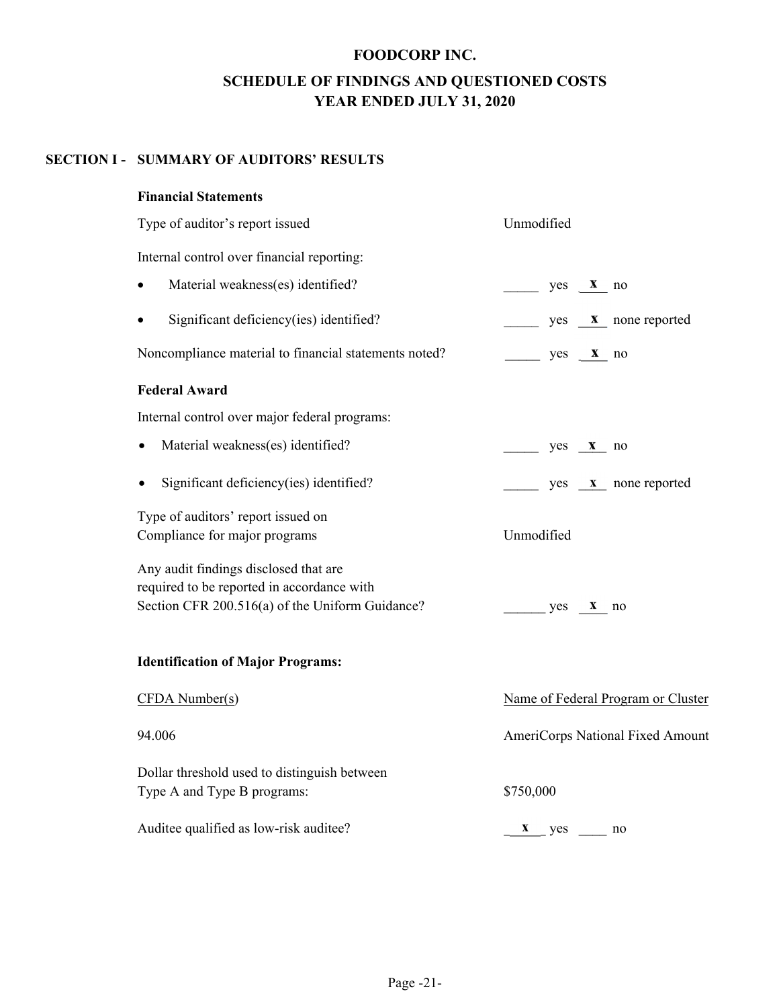## **FOODCORP INC. SCHEDULE OF FINDINGS AND QUESTIONED COSTS YEAR ENDED JULY 31, 2020**

#### **SECTION I - SUMMARY OF AUDITORS' RESULTS**

#### **Financial Statements**

| Type of auditor's report issued                                                                                                        | Unmodified                         |
|----------------------------------------------------------------------------------------------------------------------------------------|------------------------------------|
| Internal control over financial reporting:                                                                                             |                                    |
| Material weakness(es) identified?                                                                                                      | $yes \t x$ no                      |
| Significant deficiency(ies) identified?<br>$\bullet$                                                                                   | $yes \t x \t none reported$        |
| Noncompliance material to financial statements noted?                                                                                  | $yes \t x no$                      |
| <b>Federal Award</b>                                                                                                                   |                                    |
| Internal control over major federal programs:                                                                                          |                                    |
| Material weakness(es) identified?                                                                                                      | $yes \t x no$                      |
| Significant deficiency(ies) identified?                                                                                                | yes <b>x</b> none reported         |
| Type of auditors' report issued on<br>Compliance for major programs                                                                    | Unmodified                         |
| Any audit findings disclosed that are<br>required to be reported in accordance with<br>Section CFR 200.516(a) of the Uniform Guidance? | yes <b>x</b> no                    |
| <b>Identification of Major Programs:</b>                                                                                               |                                    |
| CFDA Number(s)                                                                                                                         | Name of Federal Program or Cluster |
| 94.006                                                                                                                                 | AmeriCorps National Fixed Amount   |
| Dollar threshold used to distinguish between<br>Type A and Type B programs:                                                            | \$750,000                          |
| Auditee qualified as low-risk auditee?                                                                                                 | $x$ yes $\frac{1}{x}$<br>no        |